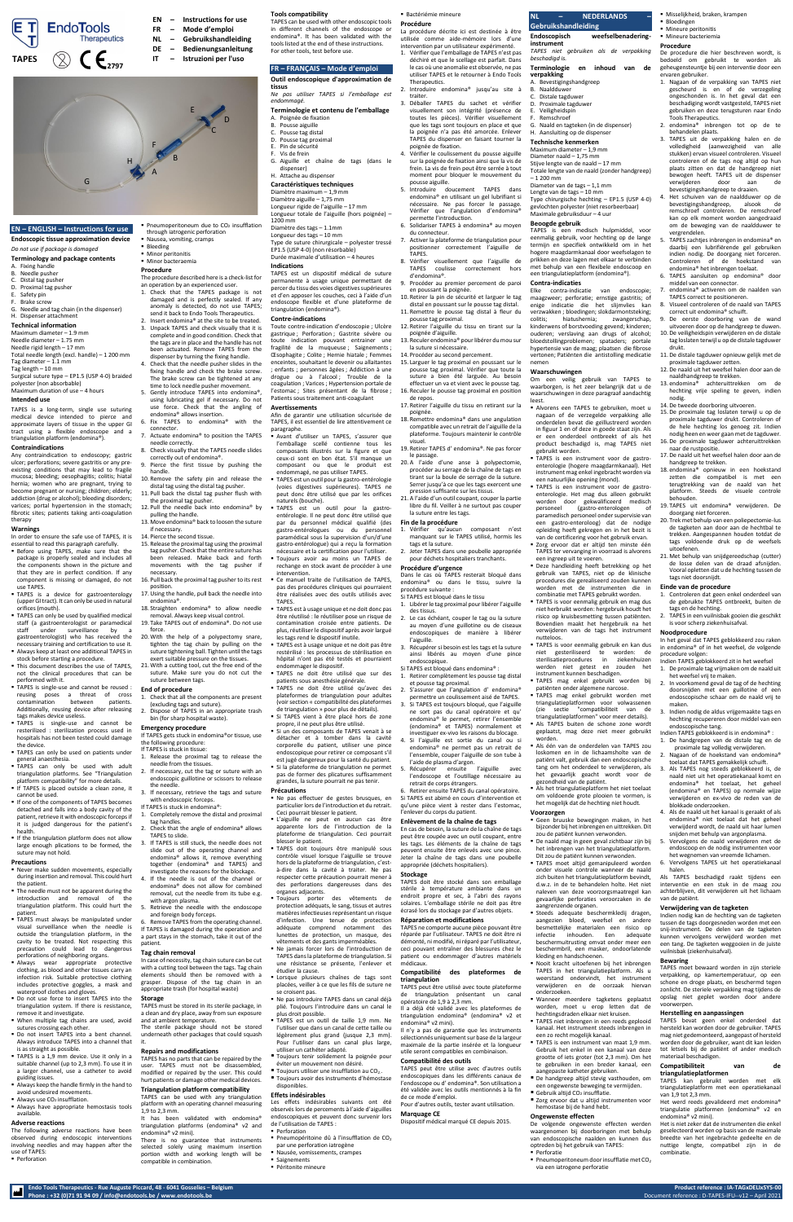**Endo Tools Therapeutics - Rue Auguste Piccard, 48 - 6041 Gosselies – Belgium Product reference : IA-TAGxDELIxSYS-00 Phone : +32 (0)71 91 94 09 / info@endotools.be / www.endotools.be** Document reference : D-TAPES-IFU--v12 – April 2021

# **EN – ENGLISH – Instructions for use**

**Endoscopic tissue approximation device**

*Do not use if package is damaged*

#### **Terminology and package contents** A. Fixing handle

- B. Needle pusher
- C. Distal tag pusher
- D. Proximal tag pusher
- E. Safety pin
- Brake screw
- G. Needle and tag chain (in the dispenser) H. Dispenser attachment

# **Technical information**

Maximum diameter – 1.9 mm Needle diameter – 1.75 mm Needle rigid length – 17 mm Total needle length (excl. handle) – 1 200 mm Tag diameter – 1.1 mm Tag length – 10 mm

In order to ensure the safe use of TAPES, it is essential to read this paragraph carefully. **E** Before using TAPES, make sure that the

Surgical suture type – EP1.5 (USP 4-0) braided polyester (non absorbable)

Maximum duration of use – 4 hours

#### **Intended use**

TAPES is a long-term, single use suturing medical device intended to pierce and approximate layers of tissue in the upper GI tract using a flexible endoscope and a triangulation platform (endomina®).

# **Contraindications**

Any contraindication to endoscopy; gastric ulcer; perforations; severe gastritis or any preexisting conditions that may lead to fragile mucosa; bleeding; oesophagitis; colitis; hiatal hernia; women who are pregnant, trying to become pregnant or nursing; children; elderly; addiction (drug or alcohol); bleeding disorders; varices; portal hypertension in the stomach; fibrotic sites; patients taking anti-coagulation therapy

# **Warnings**

- package is properly sealed and includes all the components shown in the picture and that they are in perfect condition. If any component is missing or damaged, do not use TAPES.
- **EXTERG** is a device for gastroenterology (upper GI tract). It can only be used in natural orifices (mouth).
- **TAPES can only be used by qualified medical** staff (a gastroenterologist or paramedical staff under surveillance by gastroenterologist) who has received the necessary training and certification to use it.
- Always keep at least one additional TAPES in stock before starting a procedure.
- This document describes the use of TAPES. not the clinical procedures that can be performed with it.
- TAPES is single-use and cannot be reused : reusing poses a threat of cross contamination between patients. Additionally, reusing device after releasing tags makes device useless.

- Never make sudden movements, especially during insertion and removal. This could hurt the patient.
- The needle must not be apparent during the introduction and removal of the triangulation platform. This could hurt the patient.
- TAPES must always be manipulated under visual surveillance when the needle is outside the triangulation platform, in the cavity to be treated. Not respecting this precaution could lead to dangerous perforations of neighboring organs.
- **Always wear appropriate protective** clothing, as blood and other tissues carry an infection risk. Suitable protective clothing includes protective goggles, a mask and waterproof clothes and gloves.
- Do not use force to insert TAPES into the triangulation system. If there is resistance, remove it and investigate.
- When multiple tag chains are used, avoid sutures crossing each other.
- Do not insert TAPES into a bent channel. Always introduce TAPES into a channel that is as straight as possible.
- TAPES is a 1.9 mm device. Use it only in a suitable channel (up to 2,3 mm). To use it in a larger channel, use a catheter to avoid guiding issues.
- Always keep the handle firmly in the hand to avoid undesired movements.
- $\blacksquare$  Always use CO<sub>2</sub> insufflation.
- Always have appropriate hemostasis tools available.

■ Pneumoperitoneum due to CO<sub>2</sub> insufflation through iatrogenic perforation

- Nausea, vomiting, cramps **Bleeding**
- Minor peritonitis
- Minor bacteraemia

- TAPES is single-use and cannot be resterilized : sterilization process used in hospitals has not been tested could damage the device.
- TAPES can only be used on patients under general anaesthesia.
- **EXAMELES** can only be used with adult triangulation platforms. See "Triangulation platform compatibility" for more details.
- **.** If TAPES is placed outside a clean zone, it cannot be used.
- If one of the components of TAPES becomes detached and falls into a body cavity of the patient, retrieve it with endoscopic forceps if it is judged dangerous for the patient's health.
- **.** If the triangulation platform does not allow large enough plications to be formed, the suture may not hold.

# **Precautions**

- 1. Check that all the components are present (excluding tags and suture). 2. Dispose of TAPES in an appropriate trash
	-

# **Adverse reactions**

It has been validated with endomina<sup>®</sup> triangulation platforms (endomina® v2 and endomina® v2 mini).

The following adverse reactions have been observed during endoscopic interventions involving needles and may happen after the use of TAPES:

■ Perforation

# **Procedure**

The procedure described here is a check-list for an operation by an experienced user. 1. Check that the TAPES package is not

- damaged and is perfectly sealed. If any anomaly is detected, do not use TAPES; send it back to Endo Tools Therapeutics.
- 2. Insert endomina<sup>®</sup> at the site to be treated. 3. Unpack TAPES and check visually that it is complete and in good condition. Check that the tags are in place and the handle has not been actuated. Remove TAPES from the dispenser by turning the fixing handle.
- 4. Check that the needle pusher slides in the fixing handle and check the brake screw. The brake screw can be tightened at any time to lock needle pusher movement.
- 5. Gently introduce TAPES into endomina®, using lubricating gel if necessary. Do not use force. Check that the angling of endomina® allows insertion.
- 6. Fix TAPES to endomina® with the connector.
- Actuate endomina® to position the TAPES needle correctly.
- 8. Check visually that the TAPES needle slides correctly out of endomina®. 9. Pierce the first tissue by pushing the
- handle. 10. Remove the safety pin and release the
- distal tag using the distal tag pusher. 11. Pull back the distal tag pusher flush with
- the proximal tag pusher. 12. Pull the needle back into endomina® by
- pulling the handle. 13. Move endomina® back to loosen the suture
- if necessary. 14. Pierce the second tissue.
- 15. Release the proximal tag using the proximal tag pusher. Check that the entire suture has been released. Make back and forth movements with the tag pusher
- necessary. 16. Pull back the proximal tag pusher to its rest
- position. 17.Using the handle, pull back the needle into
- endomina®. 18. Straighten endomina® to allow needle
- removal. Always keep visual control. 19. Take TAPES out of endomina®. Do not use force.
- 20. With the help of a polypectomy snare, tighten the tag chain by pulling on the
- suture tightening ball. Tighten until the tags exert suitable pressure on the tissues. 21. With a cutting tool, cut the free end of the
- suture. Make sure you do not cut the suture between tags.

# **End of procedure**

bin (for sharp hospital waste). **Emergency procedure**

# If TAPES gets stuck in endomina®or tissue, use

- the following procedure: If TAPES is stuck in tissue:
- 1. Release the proximal tag to release the needle from the tissues.
- 2. If necessary, cut the tag or suture with an endoscopic guillotine or scissors to release the needle.
- 3. If necessary, retrieve the tags and suture with endoscopic forceps.
- If TAPES is stuck in endomina®: 1. Completely remove the distal and proximal
- tag handles. 2. Check that the angle of endomina® allows
- TAPES to slide. 3. If TAPES is still stuck, the needle does not
- slide out of the operating channel and endomina® allows it, remove everything together (endomina® and TAPES) and investigate the reasons for the blockage.
- If the needle is out of the channel or endomina® does not allow for combined removal, cut the needle from its tube e.g. with argon plasma.
- Retrieve the needle with the endoscope and foreign body forceps.
- Remove TAPES from the operating channel. If TAPES is damaged during the operation and a part stays in the stomach, take it out of the patient.

#### **Tag chain removal**

In case of necessity, tag chain suture can be cut with a cutting tool between the tags. Tag chain elements should then be removed with a grasper. Dispose of the tag chain in an appropriate trash (for hospital waste)

#### **Storage**

TAPES must be stored in its sterile package, in a clean and dry place, away from sun exposure and at ambient temperature.

The sterile package should not be stored underneath other packages that could squash it.

#### **Repairs and modifications**

TAPES has no parts that can be repaired by the user. TAPES must not be disassembled, modified or repaired by the user. This could hurt patients or damage other medical devices.

#### **Triangulation platform compatibility**

TAPES can be used with any triangulation platform with an operating channel measuring 1,9 to 2,3 mm.

There is no guarantee that instruments selected solely using maximum insertion portion width and working length will be compatible in combination.

2. S'assurer que l'angulation d'endomina® permettre un coulissement aisé de TAPES. 3. Si TAPES est toujours bloqué, que l'aiguille

# **Tools compatibility**

TAPES can be used with other endoscopic tools in different channels of the endoscope or endomina®. It has been validated with the tools listed at the end of these instructions. For other tools, test before use.

# **FR – FRANÇAIS – Mode d'emploi**

**Outil endoscopique d'approximation de tissus**

- *Ne pas utiliser TAPES si l'emballage est endommagé.*
- **Terminologie et contenu de l'emballage** A. Poignée de fixation
- B. Pousse aiguille
- C. Pousse tag distal
- D. Pousse tag proximal E. Pin de sécurité
- F. Vis de frein
- G. Aiguille et chaîne de tags (dans le dispenser)

# H. Attache au dispenser

**Caractéristiques techniques** Diamètre maximum – 1,9 mm Diamètre aiguille – 1,75 mm Longueur rigide de l'aiguille – 17 mm Longueur totale de l'aiguille (hors poignée) – 1200 mm

Diamètre des tags – 1.1mm Longueur des tags – 10 mm

Type de suture chirurgicale – polyester tressé EP1.5 (USP 4-0) (non résorbable) Durée maximale d'utilisation – 4 heures

# **Indications**

TAPES est un dispositif médical de suture permanente à usage unique permettant de percer du tissu des voies digestives supérieures et d'en apposer les couches, ceci à l'aide d'un endoscope flexible et d'une plateforme de triangulation (endomina®).

B. Naaldduwer Distale tagduwer D. Proximale tagduwer Veiligheidspin Remschroef

#### **Contre-indications**

Toute contre-indication d'endoscopie ; Ulcère gastrique ; Perforation ; Gastrite sévère ou toute indication pouvant entrainer une fragilité de la muqueuse : Saignements ; Œsophagite ; Colite ; Hernie hiatale ; Femmes enceintes, souhaitant le devenir ou allaitantes ; enfants ; personnes âgées ; Addiction à une drogue ou à l'alcool ; Trouble de la coagulation ; Varices ; Hypertension portale de l'estomac ; Sites présentant de la fibrose ; Patients sous traitement anti-coagulant

#### **Avertissements**

Afin de garantir une utilisation sécurisée de TAPES, il est essentiel de lire attentivement ce paragraphe.

- **B** Avant d'utiliser un TAPES, s'assurer que l'emballage scellé contienne tous les composants illustrés sur la figure et que ceux-ci sont en bon état. S'il manque un composant ou que le produit est endommagé, ne pas utiliser TAPES.
- **TAPES est un outil pour la gastro-entérologie** (voies digestives supérieures). TAPES ne peut donc être utilisé que par les orifices naturels (bouche).
- TAPES est un outil pour la gastroentérologie. Il ne peut donc être utilisé que par du personnel médical qualifié (des gastro-entérologues ou du personnel paramédical sous la supervision d'un/d'une gastro-entérologue) qui a reçu la formation nécessaire et la certification pour l'utiliser.
- Toujours avoir au moins un TAPES de rechange en stock avant de procéder à une intervention.
- Ce manuel traite de l'utilisation de TAPES. pas des procédures cliniques qui pourraient être réalisées avec des outils utilisés avec TAPES.
- TAPES est à usage unique et ne doit donc pas être réutilisé : le réutiliser pose un risque de contamination croisée entre patients. De plus, réutiliser le dispositif après avoir largué les tags rend le dispositif inutile.
- TAPES est à usage unique et ne doit pas être restérilisé : les processus de stérilisation en hôpital n'ont pas été testés et pourraient
- endommager le dispositif. ▪ TAPES ne doit être utilisé que sur des patients sous anesthésie générale.
- TAPES ne doit être utilisé qu'avec des plateformes de triangulation pour adultes (voir section « compatibilité des plateformes
- de triangulation » pour plus de détails). Si TAPES vient à être placé hors de

■ Alvorens een TAPFS te gebruiken, moet u nagaan of de verzegelde verpakking alle onderdelen bevat die geïllustreerd worden in figuur 1 en of deze in goede staat zijn. Als er een onderdeel ontbreekt of als het product beschadigd is, mag TAPES niet

TAPES is een instrument voor de gastroenterologie (hogere maagdarmkanaal). Het instrument mag enkel ingebracht worden via

TAPES is een instrument voor de gastroenterologie. Het mag dus alleen gebruikt worden door gekwalificeerd medisch<br>personeel (gastro-enterologen of (gastro-enterologen paramedisch personeel onder supervisie van een gastro-enteroloog) dat de nodige opleiding heeft gekregen en in het bezit is van de certificering voor het gebruik ervan. Zorg ervoor dat er altijd ten minste één TAPES ter vervanging in voorraad is alvorens

TAPES is voor eenmalig gebruik en kan dus<br>niet gesteriliseerd te worden: de niet gesteriliseerd te worden: de sterilisatieprocedures in ziekenhuizen werden niet getest en zouden het

Als het triangulatieplatform het niet toelaat om voldoende grote plooien te vormen, is het mogelijk dat de hechting niet houdt.

Geen bruuske bewegingen maken, in het bijzonder bij het inbrengen en uittrekken. Dit zou de patiënt kunnen verwonden. De naald mag in geen geval zichtbaar zijn bij het inbrengen van het triangulatieplatform. Dit zou de patiënt kunnen verwonden. ■ TAPES moet altijd gemanipuleerd worden onder visuele controle wanneer de naald zich buiten het triangulatieplatform bevindt, d.w.z. in de te behandelen holte. Het niet naleven van deze voorzorgsmaatregel kan gevaarlijke perforaties veroorzaken in de

Steeds adequate beschermkledij dragen, aangezien bloed, weefsel en andere besmettelijke materialen een risico op infectie inhouden. Een adequate beschermuitrusting omvat onder meer een beschermbril, een masker, ondoorlatende

Nooit kracht uitoefenen bij het inbrengen TAPES in het triangulatieplatform. Als u weerstand ondervindt, het instrument verwijderen en de oorzaak hiervan

Wanneer meerdere tagketens geplaatst worden, moet u erop letten dat de hechtingsdraden elkaar niet kruisen. ▪ TAPES niet inbrengen in een reeds geplooid kanaal. Het instrument steeds inbrengen in

- propre, il ne peut plus être utilisé.
- Si un des composants de TAPES venait à se détacher et à tomber dans la cavité corporelle du patient, utiliser une pince endoscopique pour retirer ce composant s'il est jugé dangereux pour la santé du patient. **•** Si la plateforme de triangulation ne permet pas de former des plicatures suffisamment grandes, la suture pourrait ne pas tenir.

TAPES is een instrument van maat 1,9 mm. Gebruik het enkel in een kanaal van deze grootte of iets groter (tot 2,3 mm). Om het te gebruiken in een breder kanaal, een

De handgreep altijd stevig vasthouden, om een ongewenste beweging te vermijden.

#### **Précautions**

- Ne pas effectuer de gestes brusques, en particulier lors de l'introduction et du retrait. Ceci pourrait blesser le patient.
- L'aiguille ne peut en aucun cas être apparente lors de l'introduction de la plateforme de triangulation. Ceci pourrait blesser le patient.
- TAPES doit toujours être manipulé sous contrôle visuel lorsque l'aiguille se trouve hors de la plateforme de triangulation, c'està-dire dans la cavité à traiter. Ne pas respecter cette précaution pourrait mener à des perforations dangereuses dans des organes adjacents.
- Toujours porter des vêtements de protection adéquats, le sang, tissus et autres matières infectieuses représentant un risque d'infection. Une tenue de protection adéquate comprend notamment des lunettes de protection, un masque, des vêtements et des gants imperméables.
- Ne jamais forcer lors de l'introduction de TAPES dans la plateforme de triangulation. Si une résistance se présente, l'enlever et étudier la cause.
- **E** Lorsque plusieurs chaînes de tags sont placées, veiller à ce que les fils de suture ne se croisent pas.
- Ne pas introduire TAPES dans un canal déjà plié. Toujours l'introduire dans un canal le plus droit possible.
- TAPES est un outil de taille 1,9 mm. Ne l'utiliser que dans un canal de cette taille ou légèrement plus grand (jusque 2,3 mm). Pour l'utiliser dans un canal plus large, utiliser un cathéter adapté.
- Toujours tenir solidement la poignée pour éviter un mouvement non désiré.
- $\blacksquare$  Toujours utiliser une insufflation au CO<sub>2</sub>.
- Toujours avoir des instruments d'hémostase disponibles.

De eerste doorboring van de wand uitvoeren door op de handgreep te duwen. 10.De veiligheidspin verwijderen en de distale tag loslaten terwijl u op de distale tagduwer

Controleren dat geen enkel onderdeel van de gebruikte TAPES ontbreekt, buiten de

#### **Effets indésirables**

Les effets indésirables suivants ont été observés lors de percements à l'aide d'aiguilles endoscopiques et peuvent donc survenir lors de l'utilisation de TAPES :

- **Perforation**
- par une perforation iatrogène
- Nausée, vomissements, crampes
- 
- Péritonite mineure

# ▪ Bactériémie mineure

**Procédure**

La procédure décrite ici est destinée à être

utilisée comme aide-mémoire lors d'une intervention par un utilisateur expérimenté. 1. Vérifier que l'emballage de TAPES n'est pas déchiré et que le scellage est parfait. Dans le cas où une anomalie est observée, ne pas utiliser TAPES et le retourner à Endo Tools Therapeutics.

- 2. Introduire endomina® jusqu'au site à traiter.
- 3. Déballer TAPES du sachet et vérifier visuellement son intégrité (présence de toutes les pièces). Vérifier visuellement que les tags sont toujours en place et que la poignée n'a pas été amorcée. Enlever TAPES du dispenser en faisant tourner la poignée de fixation.
- 4. Vérifier le coulissement du pousse aiguille sur la poignée de fixation ainsi que la vis de frein. La vis de frein peut être serrée à tout moment pour bloquer le mouvement du pousse aiguille.
- 5. Introduire doucement TAPES dans endomina® en utilisant un gel lubrifiant si nécessaire. Ne pas forcer le passage. Vérifier que l'angulation d'endomina® permette l'introduction.
- 6. Solidariser TAPES à endomina® au moyen du connecteur.
- 7. Activer la plateforme de triangulation pour positionner correctement l'aiguille de TAPES.
- 8. Vérifier visuellement que l'aiguille de TAPES coulisse correctement hors d'endomina®.
- 9. Procéder au premier percement de paroi en poussant la poignée.
- ET **EndoTools Therapeutics TAPES**  $\left(\begin{matrix} \searrow \\ \searrow \end{matrix}\right)$   $\left(\begin{matrix} \bullet \\ \bullet \\ 2797 \end{matrix}\right)$  **IT**  $-$  **Istruzioni per l'uso**
- A B D C E F G H

10. Retirer la pin de sécurité et larguer le tag distal en poussant sur le pousse tag distal.

11. Remettre le pousse tag distal à fleur du

pousse tag proximal.

12. Retirer l'aiguille du tissu en tirant sur la

poignée d'aiguille.

13. Reculer endomina® pour libérer du mou sur

la suture si nécessaire. 14. Procéder au second percement.

15. Larguer le tag proximal en poussant sur le pousse tag proximal. Vérifier que toute la suture a bien été larguée. Au besoin effectuer un va et vient avec le pousse tag. 16. Reculer le pousse tag proximal en position

de repos.

17. Retirer l'aiguille du tissu en retirant sur la

poignée.

18. Remettre endomina® dans une angulation compatible avec un retrait de l'aiguille de la plateforme. Toujours maintenir le contrôle

visuel.

19. Retirer TAPES d' endomina®. Ne pas forcer

le passage.

20. A l'aide d'une anse à polypectomie, procéder au serrage de la chaîne de tags en tirant sur la boule de serrage de la suture. Serrer jusqu'à ce que les tags exercent une pression suffisante sur les tissus. 21. A l'aide d'un outil coupant, couper la partie libre du fil. Veiller à ne surtout pas couper

la suture entre les tags. **Fin de la procédure**

1. Vérifier qu'aucun composant n'est manquant sur le TAPES utilisé, hormis les

tags et la suture.

2. Jeter TAPES dans une poubelle appropriée pour déchets hospitaliers tranchants.

**Procédure d'urgence**

Dans le cas où TAPES resterait bloqué dans endomina® ou dans le tissu, suivre la

procédure suivante :

Si TAPES est bloqué dans le tissu

1. Libérer le tag proximal pour libérer l'aiguille

des tissus.

2. Le cas échéant, couper le tag ou la suture au moyen d'une guillotine ou de ciseaux endoscopiques de manière à libérer

l'aiguille.

endoscopique

3. Récupérer si besoin est les tags et la suture ainsi libérés au moyen d'une pince

Retirer complètement les pousse tag distal

Si TAPES est bloqué dans endomina® :

et pousse tag proximal.

ne sort pas du canal opératoire et qu' endomina® le permet, retirer l'ensemble (endomina® et TAPES) normalement et investiguer ex-vivo les raisons du blocage.

- 4. Si l'aiguille est sortie du canal ou si endomina® ne permet pas un retrait de l'ensemble, couper l'aiguille de son tube à l'aide de plasma d'argon.
- 5. Récupérer ensuite l'aiguille avec l'endoscope et l'outillage nécessaire au retrait de corps étrangers.

6. Retirer ensuite TAPES du canal opératoire. Si TAPES est abimé en cours d'intervention et qu'une pièce vient à rester dans l'estomac, l'enlever du corps du patient.

#### **Enlèvement de la chaîne de tags**

En cas de besoin, la suture de la chaîne de tags peut être coupée avec un outil coupant, entre les tags. Les éléments de la chaîne de tags peuvent ensuite être enlevés avec une pince. Jeter la chaîne de tags dans une poubelle appropriée (déchets hospitaliers).

#### **Stockage**

TAPES doit être stocké dans son emballage stérile à température ambiante dans un endroit propre et sec, à l'abri des rayons solaires. L'emballage stérile ne doit pas être écrasé lors du stockage par d'autres objets.

#### **Réparation et modifications**

TAPES ne comporte aucune pièce pouvant être réparée par l'utilisateur. TAPES ne doit être ni démonté, ni modifié, ni réparé par l'utilisateur, ceci pouvant entraîner des blessures chez le patient ou endommager d'autres matériels médicaux.

#### **Compatibilité des plateformes de triangulation**

TAPES peut être utilisé avec toute plateforme de triangulation présentant un canal opératoire de 1,9 à 2,3 mm.

Il a déjà été validé avec les plateformes de triangulation endomina® (endomina® v2 et endomina® v2 mini).

Il n'y a pas de garantie que les instruments sélectionnés uniquement sur base de la largeur maximale de la partie insérée et la longueur utile seront compatibles en combinaison.

#### **Compatibilité des outils**

TAPES peut être utilise avec d'autres outils endoscopiques dans les différents canaux de l'endoscope ou d' endomina®. Son utilisation a été validée avec les outils mentionnés à la fin de ce mode d'emploi. Pour d'autres outils, tester avant utilisation.

## **Marquage CE**

Dispositif médical marqué CE depuis 2015.

- 
- Pneumopéritoine dû à l'insufflation de CO<sub>2</sub>
- 
- Saignements
- 

**NL – NEDERLANDS –**

**Gebruikshandleiding**

**Bevestigingshandgreep** 

**Endoscopisch weefselbenadering-**

**instrument**

*TAPES niet gebruiken als de verpakking* 

*beschadigd is.*

**Terminologie en inhoud van de** 

**verpakking**

G. Naald en tagteken (in de dispenser) H. Aansluiting op de dispenser **Technische kenmerken** Maximum diameter – 1,9 mm Diameter naald – 1,75 mm Stijve lengte van de naald – 17 mm Totale lengte van de naald (zonder handgreep)

– 1 200 mm

Diameter van de tags – 1,1 mm Lengte van de tags – 10 mm

Type chirurgische hechting – EP1.5 (USP 4-0) gevlochten polyester (niet resorbeerbaar)

Maximale gebruiksduur – 4 uur

**Beoogde gebruik**

TAPES is een medisch hulpmiddel, voor eenmalig gebruik, voor hechting op de lange termijn en specifiek ontwikkeld om in het hogere maagdarmkanaal door weefselagen te prikken en deze lagen met elkaar te verbinden met behulp van een flexibele endoscoop en een triangulatieplatform (endomina®).

**Contra-indicaties**

Elke contra-indicatie van endoscopie; maagzweer; perforatie; ernstige gastritis; of enige indicatie die het slijmvlies kan verzwakken ; bloedingen; slokdarmontsteking; colitis; hiatushernia; zwangerschap, kinderwens of borstvoeding gevend; kinderen; ouderen; verslaving aan drugs of alcohol; bloedstollingproblemen; spataders; portale hypertensie van de maag; plaatsen die fibrose vertonen; Patiënten die antistolling medicatie

nemen

**Waarschuwingen**

Om een veilig gebruik van TAPES te waarborgen, is het zeer belangrijk dat u de waarschuwingen in deze paragraaf aandachtig

leest.

gebruikt worden.

een natuurlijke opening (mond).

een ingreep uit te voeren.

▪ Deze handleiding heeft betrekking op het gebruik van TAPES, niet op de klinische procedures die gerealiseerd zouden kunnen worden met de instrumenten die in combinatie met TAPES gebruikt worden. TAPES is voor eenmalig gebruik en mag dus niet herbruikt worden: hergebruik houdt het risico op kruisbesmetting tussen patiënten. Bovendien maakt het hergebruik na het verwijderen van de tags het instrument

nutteloos.

instrument kunnen beschadigen.

▪ TAPES mag enkel gebruikt worden bij patiënten onder algemene narcose. TAPES mag enkel gebruikt worden met triangulatieplatformen voor volwassenen (zie sectie "compatibiliteit van de

triangulatieplatformen" voor meer details). **Als TAPES buiten de schone zone wordt** geplaatst, mag deze niet meer gebruikt

worden.

▪ Als één van de onderdelen van TAPES zou loskomen en in de lichaamsholte van de patiënt valt, gebruik dan een endoscopische tang om het onderdeel te verwijderen, als het gevaarlijk geacht wordt voor de

gezondheid van de patiënt.

**Voorzorgen**

aangrenzende organen.

kleding en handschoenen.

onderzoeken.

een zo recht mogelijk kanaal.

aangepaste katheter gebruiken.

 $\blacksquare$  Gebruik altijd CO<sub>2</sub> insufflatie.

▪ Zorg ervoor dat u altijd instrumenten voor

hemostase bij de hand hebt. **Ongewenste effecten**

De volgende ongewenste effecten werden waargenomen bij doorboringen met behulp van endoscopische naalden en kunnen dus optreden bij het gebruik van TAPES:

■ Pneumoperitoneum door insufflatie met CO<sub>2</sub>

▪ Perforatie

via een iatrogene perforatie

▪ Misselijkheid, braken, krampen

▪ Bloedingen ■ Mineure peritonitis ▪ Mineure bacteriemia

**Procedure**

De procedure die hier beschreven wordt, is bedoeld om gebruikt te worden als geheugensteuntje bij een interventie door een

ervaren gebruiker.

1. Nagaan of de verpakking van TAPES niet gescheurd is en of de verzegeling ongeschonden is. In het geval dat een beschadiging wordt vastgesteld, TAPES niet gebruiken en deze terugsturen naar Endo

Tools Therapeutics.

2. endomina® inbrengen tot op de te

behandelen plaats.

3. TAPES uit de verpakking halen en de volledigheid (aanwezigheid van alle stukken) ervan visueel controleren. Visueel controleren of de tags nog altijd op hun plaats zitten en dat de handgreep niet bewogen heeft. TAPES uit de dispenser verwijderen door aan de bevestigingshandgreep te draaien. 4. Het schuiven van de naaldduwer op de bevestigingshandgreep, alsook de remschroef controleren. De remschroef kan op elk moment worden aangedraaid om de beweging van de naaldduwer te

vergrendelen.

5. TAPES zachtjes inbrengen in endomina® en daarbij een lubrifiërende gel gebruiken indien nodig. De doorgang niet forceren. Controleren of de hoekstand van endomina® het inbrengen toelaat. 6. TAPES aansluiten op endomina® door

middel van een connector.

7. endomina® activeren om de naalden van

TAPES correct te positioneren.

8. Visueel controleren of de naald van TAPES

correct uit endomina® schuift.

drukt.

11.De distale tagduwer opnieuw gelijk met de

proximale tagduwer zetten.

12.De naald uit het weefsel halen door aan de

naaldhandgreep te trekken.

13. endomina® achteruittrekken om de hechting vrije speling te geven, indien

nodig.

14.De tweede doorboring uitvoeren. 15.De proximale tag loslaten terwijl u op de proximale tagduwer drukt. Controleren of de hele hechting los genoeg zit. Indien nodig heen en weer gaan met de tagduwer. 16.De proximale tagduwer achteruittrekken

naar de rustpositie.

17.De naald uit het weefsel halen door aan de

handgreep te trekken.

18. endomina® opnieuw in een hoekstand zetten die compatibel is met een terugtrekking van de naald van het platform. Steeds de visuele controle

behouden.

19. TAPES uit endomina® verwijderen. De

doorgang niet forceren.

20. Trek met behulp van een poliepectomie-lus de tagketen aan door aan de hechtbal te trekken. Aangespannen houden totdat de tags voldoende druk op de weefsels

uitoefenen.

21. Met behulp van snijdgereedschap (cutter) de losse delen van de draad afsnijden. Vooral opletten dat u de hechting tussen de

tags niet doorsnijdt. **Einde van de procedure**

tags en de hechting.

2. TAPES in een vuilnisbak gooien die geschikt

is voor scherp ziekenhuisafval.

**Noodprocedure**

In het geval dat TAPES geblokkeerd zou raken in endomina® of in het weefsel, de volgende

procedure volgen:

Indien TAPES geblokkeerd zit in het weefsel 1. De proximale tag vrijmaken om de naald uit

het weefsel vrij te maken.

2. In voorkomend geval de tag of de hechting doorsnijden met een guillotine of een endoscopische schaar om de naald vrij te

maken.

3. Indien nodig de aldus vrijgemaakte tags en hechting recupereren door middel van een

endoscopische tang.

Indien TAPES geblokkeerd is in endomina® : 1. De handgrepen van de distale tag en de

- proximale tag volledig verwijderen. 2. Nagaan of de hoekstand van endomina® toelaat dat TAPES gemakkelijk schuift.
- 3. Als TAPES nog steeds geblokkeerd is, de naald niet uit het operatiekanaal komt en endomina® het toelaat, het geheel (endomina® en TAPES) op normale wijze verwijderen en ex-vivo de reden van de blokkade onderzoeken.
- 4. Als de naald uit het kanaal is geraakt of als endomina® niet toelaat dat het geheel verwijderd wordt, de naald uit haar lumen snijden met behulp van argonplasma.
- 5. Vervolgens de naald verwijderen met de endoscoop en de nodig instrumenten voor het wegnemen van vreemde lichamen.
- 6. Vervolgens TAPES uit het operatiekanaal halen.

Als TAPES beschadigd raakt tijdens een interventie en een stuk in de maag zou achterblijven, dit verwijderen uit het lichaam van de patiënt.

#### **Verwijdering van de tagketen**

Indien nodig kan de hechting van de tagketen tussen de tags doorgesneden worden met een snij-instrument. De delen van de tagketen kunnen vervolgens verwijderd worden met een tang. De tagketen weggooien in de juiste vuilnisbak (ziekenhuisafval).

**Bewaring**

TAPES moet bewaard worden in zijn steriele verpakking, op kamertemperatuur, op een schone en droge plaats, en beschermd tegen zonlicht. De steriele verpakking mag tijdens de opslag niet geplet worden door andere

voorwerpen.

**Herstelling en aanpassingen**

TAPES bevat geen enkel onderdeel dat hersteld kan worden door de gebruiker. TAPES mag niet gedemonteerd, aangepast of hersteld worden door de gebruiker, want dit kan leiden tot letsels bij de patiënt of ander medisch

materiaal beschadigen.

**Compatibiliteit van de** 

**triangulatieplatformen**

TAPES kan gebruikt worden met elk triangulatieplatform met een operatiekanaal

van 1,9 tot 2,3 mm.

Het werd reeds gevalideerd met endomina® triangulatie platformen (endomina® v2 en

endomina® v2 mini).

Het is niet zeker dat de instrumenten die enkel geselecteerd worden op basis van de maximale breedte van het ingebrachte gedeelte en de nuttige lengte, compatibel zijn in de

combinatie.

**EN – Instructions for use FR – Mode d'emploi NL – Gebruikshandleiding DE – Bedienungsanleitung**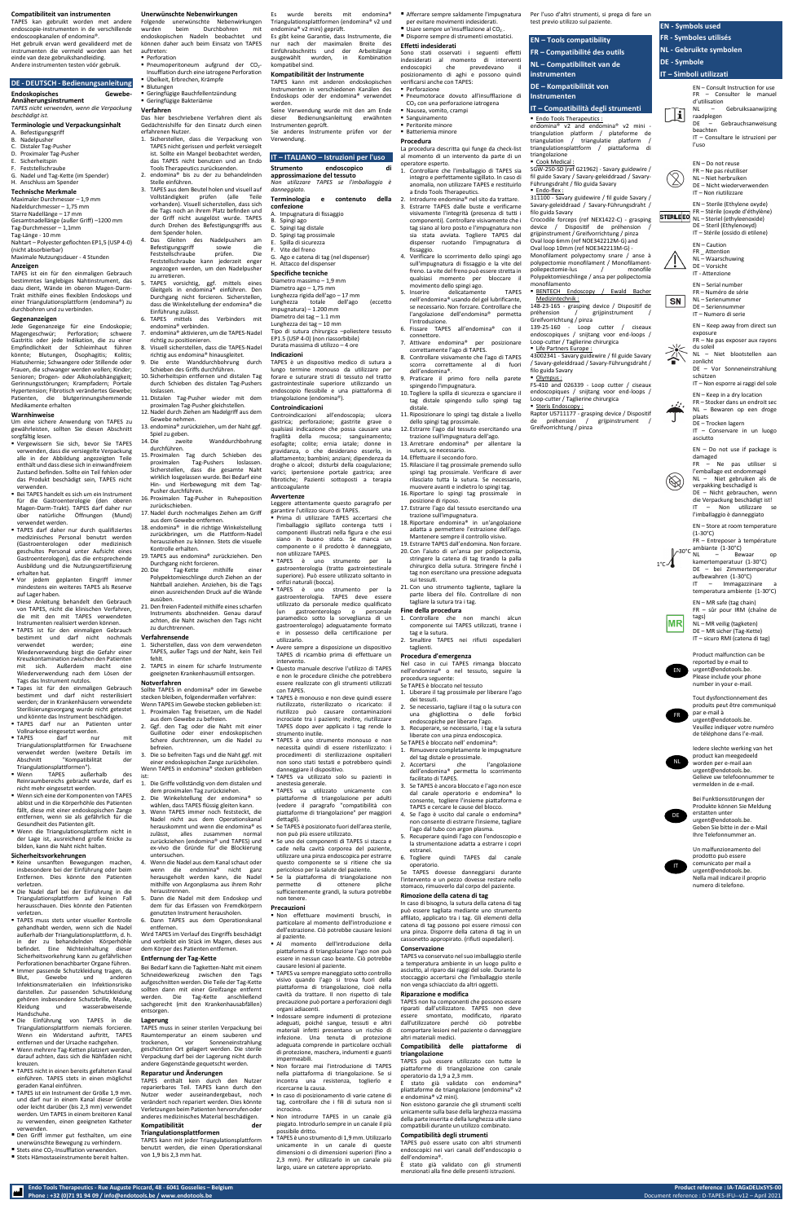## **Compatibiliteit van instrumenten**

TAPES kan gebruikt worden met andere endoscopie-instrumenten in de verschillende endoscoopkanalen of endomina®. Het gebruik ervan werd gevalideerd met de instrumenten die vermeld worden aan het einde van deze gebruikshandleiding.

Andere instrumenten testen vóór gebruik.

# **DE - DEUTSCH - Bedienungsanleitung**

# **Endoskopisches Gewebe-**

**Annäherungsinstrument**

*TAPES nicht verwenden, wenn die Verpackung beschädigt ist.*

# **Terminologie und Verpackungsinhalt**

- A. Befestigungsgriff B. Nadelpusher
- C. Distaler Tag-Pusher
- D. Proximaler Tag-Pusher
- E. Sicherheitspin
- **Feststellschraube**
- G. Nadel und Tag-Kette (im Spender) H. Anschluss am Spender

# **Technische Merkmale**

Jede Gegenanzeige für eine Endoskopie;<br>Magengeschwür: Perforation; schwere Magengeschwür; Perforation; schwere Gastritis oder jede Indikation, die zu einer Empfindlichkeit der Schleimhaut führen könnte; Blutungen, Ösophagitis; Kolitis; Hiatushernie; Schwangere oder Stillende oder Frauen, die schwanger werden wollen; Kinder; Senioren; Drogen- oder Alkoholabhängigkeit; Gerinnungsstörungen; Krampfadern; Portale Hypertension; Fibrotisch verändertes Gewebe; Patienten, die blutgerinnungshemmende Medikamente erhalten

- Vergewissern Sie sich, bevor Sie TAPES verwenden, dass die versiegelte Verpackung alle in der Abbildung angezeigten Teile enthält und dass diese sich in einwandfreiem Zustand befinden. Sollte ein Teil fehlen oder das Produkt beschädigt sein, TAPES nicht verwenden.
- Bei TAPES handelt es sich um ein Instrument für die Gastroenterologie (den oberen Magen-Darm-Trakt). TAPES darf daher nur über natürliche Öffnungen (Mund) verwendet werden.
- **E** TAPES darf daher nur durch qualifiziertes medizinisches Personal benutzt werden (Gastroenterologen oder medizinisch geschultes Personal unter Aufsicht eines Gastroenterologen), das die entsprechende Ausbildung und die Nutzungszertifizierung erhalten hat.
- Vor jedem geplanten Eingriff immer mindestens ein weiteres TAPES als Reserve auf Lager haben.
- Diese Anleitung behandelt den Gebrauch von TAPES, nicht die klinischen Verfahren, die mit den mit TAPES verwendeten Instrumenten realisiert werden können.
- **E TAPES** ist für den einmaligen Gebrauch bestimmt und darf nicht nochmals verwendet werden; eine Wiederverwendung birgt die Gefahr einer Kreuzkontamination zwischen den Patienten mit sich. Außerdem macht eine Wiederverwendung nach dem Lösen der Tags das Instrument nutzlos.
- Tapes ist für den einmaligen Gebrauch bestimmt und darf nicht resterilisiert werden; der in Krankenhäusern verwendete Sterilisierungsvorgang wurde nicht getestet und könnte das Instrument beschär

Maximaler Durchmesser – 1,9 mm Nadeldurchmesser – 1,75 mm Starre Nadellänge – 17 mm Gesamtnadellänge (außer Griff) –1200 mm Tag-Durchmesser – 1,1mm Tag-Länge - 10 mm Nahtart – Polyester geflochten EP1,5 (USP 4-0) (nicht absorbierbar)

Maximale Nutzungsdauer - 4 Stunden

# **Anzeigen**

TAPES ist ein für den einmaligen Gebrauch bestimmtes langlebiges Nahtinstrument, das dazu dient, Wände im oberen Magen-Darm-Trakt mithilfe eines flexiblen Endoskops und einer Triangulationsplattform (endomina®) zu durchbohren und zu verbinden.

#### **Gegenanzeigen**

#### **Warnhinweise**

Um eine sichere Anwendung von TAPES zu gewährleisten, sollten Sie diesen Abschnitt sorgfältig lesen.

- TAPES darf nur an Patienten unter Vollnarkose eingesetzt werden.
- TAPES darf nur mit Triangulationsplattformen für Erwachsene verwendet werden (weitere Details im Abschnitt "Kompatibilität der Triangulationsplattformen").<br>Wenn TAPES auße
- Wenn TAPES außerhalb des Reinraumbereichs gebracht wurde, darf es nicht mehr eingesetzt werden.
- Wenn sich eine der Komponenten von TAPES ablöst und in die Körperhöhle des Patienten fällt, diese mit einer endoskonischen Zange entfernen, wenn sie als gefährlich für die Gesundheit des Patienten gilt.
- Wenn die Triangulationsplattform nicht in der Lage ist, ausreichend große Knicke zu bilden, kann die Naht nicht halten.

#### **Sicherheitsvorkehrungen**

- Keine unsanften Bewegungen machen, insbesondere bei der Einführung oder beim Entfernen. Dies könnte den Patienten verletzen.
- Die Nadel darf bei der Einführung in die Triangulationsplattform auf keinen Fall herausschauen. Dies könnte den Patienten verletzen.
- TAPES muss stets unter visueller Kontrolle gehandhabt werden, wenn sich die Nadel außerhalb der Triangulationsplattform, d. h. in der zu behandelnden Körperhöhle befindet. Eine Nichteinhaltung dieser Sicherheitsvorkehrung kann zu gefährlichen Perforationen benachbarter Organe führen.
- Immer passende Schutzkleidung tragen, da Blut, Gewebe und anderen Infektionsmaterialien ein Infektionsrisiko darstellen. Zur passenden Schutzkleidung gehören insbesondere Schutzbrille, Maske,<br>Kleidung und wasserabweisende und wasserabweisende Handschuhe.
- Die Einführung von TAPES in die Triangulationsplattform niemals forcieren. Wenn ein Widerstand auftritt, TAPES entfernen und der Ursache nachgehen.
- Wenn mehrere Tag-Ketten platziert werden, darauf achten, dass sich die Nähfäden nicht kreuzen.
- TAPES nicht in einen bereits gefalteten Kanal einführen. TAPES stets in einen möglichst geraden Kanal einführen.
- TAPES ist ein Instrument der Größe 1,9 mm. und darf nur in einem Kanal dieser Größe oder leicht darüber (bis 2,3 mm) verwendet werden. Um TAPES in einem breiteren Kanal zu verwenden, einen geeigneten Katheter verwenden.
- Den Griff immer gut festhalten, um eine unerwünschte Bewegung zu verhindern.
- Stets eine CO<sub>2</sub>-Insufflation verwenden.
- Stets Hämostaseinstrumente bereit halten

#### **Unerwünschte Nebenwirkungen** Folgende unerwünschte Nebenwirkungen

wurden beim Durchbohren mit endoskopischen Nadeln beobachtet und können daher auch beim Einsatz von TAPES auftreten:

■ Perforation ■ Pneumoperitoneum aufgrund der CO<sub>2</sub>-

- Insufflation durch eine iatrogene Perforation ▪ Übelkeit, Erbrechen, Krämpfe
- Blutungen ▪ Geringfügige Bauchfellentzündung
- Geringfügige Bakteriämie

# **Verfahren**

Das hier beschriebene Verfahren dient als Gedächtnishilfe für den Einsatz durch einen erfahrenen Nutzer.

- 1. Sicherstellen, dass die Verpackung von TAPES nicht gerissen und perfekt versiegelt ist. Sollte ein Mangel beobachtet werden, das TAPES nicht benutzen und an Endo Tools Therapeutics zurücksenden.
- 2. endomina® bis zu der zu behandelnden Stelle einführen. 3. TAPES aus dem Beutel holen und visuell auf Vollständigkeit prüfen (alle Teile vorhanden). Visuell sicherstellen, dass sich
- die Tags noch an ihrem Platz befinden und der Griff nicht ausgelöst wurde. TAPES durch Drehen des Befestigungsgriffs aus dem Spender holen. 4. Das Gleiten des Nadelpushers am
	- Befestigungsgriff sowie die<br>Feststellschraube prüfen. Die Feststellschraube prüfen. Die Feststellschraube kann jederzeit enger angezogen werden, um den Nadelpusher zu arretieren.
- 5. TAPES vorsichtig, ggf. mittels eines Gleitgels in endomina® einführen. Den Durchgang nicht forcieren. Sicherstellen, dass die Winkelstellung der endomina® die Einführung zulässt.
- 6. TAPES mittels des Verbinders mit endomina® verbinden.
- endomina® aktivieren, um die TAPES-Nadel richtig zu positionieren.
- 8. Visuell sicherstellen, dass die TAPES-Nadel richtig aus endomina® hinausgleitet.
- Die erste Wanddurchbohrung durch Schieben des Griffs durchführen. 10. Sicherheitspin entfernen und distalen Tag
- durch Schieben des distalen Tag-Pushers loslassen.
- 11.Distalen Tag-Pusher wieder mit dem proximalen Tag-Pusher gleichstellen.
- 12.Nadel durch Ziehen am Nadelgriff aus dem Gewebe nehmen.
- 13. endomina® zurückziehen, um der Naht ggf. Spiel zu geben.
- 14.Die zweite Wanddurchbohrung durchführen.
- 15. Proximalen Tag durch Schieben des proximalen Tag-Pushers loslassen. Sicherstellen, dass die gesamte Naht wirklich losgelassen wurde. Bei Bedarf eine Hin- und Herbewegung mit dem Tag-Pusher durchführen.
- 16. Proximalen Tag-Pusher in Ruheposition zurückschieben.
- 17.Nadel durch nochmaliges Ziehen am Griff aus dem Gewebe entfernen.
- 18. endomina® in die richtige Winkelstellung zurückbringen, um die Plattform-Nadel herausziehen zu können. Stets die visuelle Kontrolle erhalten.
- 19. TAPES aus endomina® zurückziehen. Den Durchgang nicht forcieren.
- 20.Die Tag-Kette mithilfe einer Polypektomieschlinge durch Ziehen an der Nahtball anziehen. Anziehen, bis die Tags einen ausreichenden Druck auf die Wände ausüben.
- 21.Den freien Fadenteil mithilfe eines scharfen Instruments abschneiden. Genau darauf achten, die Naht zwischen den Tags nicht zu durchtrennen.

#### **Verfahrensende**

- 1. Sicherstellen, dass von dem verwendeten TAPES, außer Tags und der Naht, kein Teil fehlt.
- 2. TAPES in einem für scharfe Instrumente geeigneten Krankenhausmüll entsorgen.

# **Notverfahren**

Sollte TAPES in endomina® oder im Gewebe stecken bleiben, folgendermaßen verfahren: Wenn TAPES im Gewebe stecken geblieben ist: 1. Proximalen Tag freisetzen, um die Nadel

aus dem Gewebe zu befreien. 2. Ggf. den Tag oder die Naht mit einer

- Guillotine oder einer endoskopischen Schere durchtrennen, um die Nadel zu befreien. 3. Die so befreiten Tags und die Naht ggf. mit
- einer endoskopischen Zange zurückholen. Wenn TAPES in endomina® stecken geblieben ist:
- 1. Die Griffe vollständig von dem distalen und dem proximalen Tag zurückziehen.
- 2. Die Winkelstellung der endomina® so wählen, dass TAPES flüssig gleiten kann.
- 3. Wenn TAPES immer noch feststeckt, die Nadel nicht aus dem Operationskanal herauskommt und wenn die endomina® es zulässt, alles zusammen normal zurückziehen (endomina® und TAPES) und ex-vivo die Gründe für die Blockierung untersuchen.
- 4. Wenn die Nadel aus dem Kanal schaut oder wenn die endomina® nicht ganz herausgeholt werden kann, die Nadel mithilfe von Argonplasma aus ihrem Rohr heraustrennen.
- 5. Dann die Nadel mit dem Endoskop und dem für das Erfassen von Fremdkörpern genutzten Instrument herausholen.
- 6. Dann TAPES aus dem Operationskanal entfernen.

Wird TAPES im Verlauf des Eingriffs beschädigt und verbleibt ein Stück im Magen, dieses aus dem Körper des Patienten entfernen.

#### **Entfernung der Tag-Kette**

Bei Bedarf kann die Tagketten-Naht mit einem Schneidewerkzeug zwischen den Tags aufgeschnitten werden. Die Teile der Tag-Kette sollten dann mit einer Greifzange entfernt werden. Die Tag-Kette anschließend sachgerecht (mit den Krankenhausabfällen) entsorgen.

#### **Lagerung**

TAPES muss in seiner sterilen Verpackung bei Raumtemperatur an einem sauberen und trockenen, vor Sonneneinstrahlung geschützten Ort gelagert werden. Die sterile Verpackung darf bei der Lagerung nicht durch andere Gegenstände gequetscht werden.

#### **Reparatur und Änderungen**

TAPES enthält kein durch den Nutzer reparierbares Teil. TAPES kann durch den Nutzer weder auseinandergebaut, noch verändert noch repariert werden. Dies könnte Verletzungen beim Patienten hervorrufen oder anderes medizinisches Material beschädigen.

#### **Kompatibilität der Triangulationsplattformen**

TAPES kann mit jeder Triangulationsplattform benutzt werden, die einen Operationskanal von 1,9 bis 2,3 mm hat.

Es wurde bereits mit endomina® Triangulationsplattformen (endomina® v2 und endomina® v2 mini) geprüft.

Es gibt keine Garantie, dass Instrumente, die nur nach der maximalen Breite des Einführabschnitts und der Arbeitslänge ausgewählt wurden, in Kombination kompatibel sind.

# **Kompatibilität der Instrumente**

triangolazione Cook Medical :

Endo-flex :

TAPES kann mit anderen endoskopischen Instrumenten in verschiedenen Kanälen des Endoskops oder der endomina® verwendet werden.

Seine Verwendung wurde mit den am Ende dieser Bedienungsanleitung erwähnten Instrumenten geprüft.

Sie anderes Instrumente prüfen vor der Verwendung.

# **IT – ITALIANO – Istruzioni per l'uso**

148-23-165 - grasping device / Dispositif de préhension / grijpinstrument

Loop-cutter / Taglierine chirurgica Life Partners Europe :

filo guida Savary Olympus :

Steris Endoscopy :

Raptor US711177 - grasping device / Dispositif préhension / grijpinstrument

| Strumento endoscopico<br>approssimazione del tessuto<br>Non utilizzare TAPES se l'imballaggio è<br>danneggiato.                                                                                                                                                                                    | di |
|----------------------------------------------------------------------------------------------------------------------------------------------------------------------------------------------------------------------------------------------------------------------------------------------------|----|
| Terminologia e contenuto della<br>confezione<br>A. Impugnatura di fissaggio<br>B. Spingi ago<br>C. Spingi tag distale<br>D. Spingi tag prossimale<br>E. Spilla di sicurezza<br>F. Vite del freno<br>G. Ago e catena di tag (nel dispenser)<br>H. Attacco del dispenser                             |    |
| <b>Specifiche tecniche</b><br>Diametro massimo - 1,9 mm<br>Diametro ago - 1,75 mm<br>Lunghezza rigida dell'ago - 17 mm<br>Lunghezza totale dell'ago (eccetto<br>impugnatura) – 1.200 mm<br>Diametro dei tag - 1.1 mm<br>Lunghezza dei tag - 10 mm<br>Tipo di sutura chirurgica -poliestere tessuto |    |

STERILEED FK – Sterie (DAyud & Stright) DE – Steril (Ethylenoxyd) IT – Stérile (ossido di etilene)

EP1.5 (USP 4-0) (non riassorbibile) Durata massima di utilizzo – 4 ore

#### **Indicazioni**

TAPES è un dispositivo medico di sutura a lungo termine monouso da utilizzare per forare e suturare strati di tessuto nel tratto gastrointestinale superiore utilizzando un endoscopio flessibile e una piattaforma di triangolazione (endomina®).

#### **Controindicazioni**

Controindicazioni all'endoscopia; ulcera gastrica; perforazione; gastrite grave o qualsiasi indicazione che possa causare una fragilità della mucosa; sanguinamento; esofagite; colite; ernia iatale; donne in gravidanza, o che desiderano esserlo, in allattamento; bambini; anziani; dipendenza da droghe o alcool; disturbi della coagulazione; varici; ipertensione portale gastrica; aree fibrotiche; Pazienti sottoposti a terapia anticoagulante

#### **Avvertenze**

Leggere attentamente questo paragrafo per garantire l'utilizzo sicuro di TAPES.

- Prima di utilizzare TAPES accertarsi che l'imballaggio sigillato contenga tutti i componenti illustrati nella figura e che essi siano in buono stato. Se manca un componente o il prodotto è danneggiato, non utilizzare TAPES.
- TAPES è uno strumento per la gastroenterologia (tratto gastrointestinale superiore). Può essere utilizzato soltanto in
- orifizi naturali (bocca). strumento per la gastroenterologia. TAPES deve essere utilizzato da personale medico qualificato (un gastroenterologo o personale paramedico sotto la sorveglianza di un gastroenterologo) adeguatamente formato e in possesso della certificazione per utilizzarlo.
- Avere sempre a disposizione un dispositivo TAPES di ricambio prima di effettuare un intervento.
	- Questo manuale descrive l'utilizzo di TAPES e non le procedure cliniche che potrebbero essere realizzate con gli strumenti utilizzati con TAPES.
- TAPES è monouso e non deve quindi essere riutilizzato, risterilizzato o ricaricato: il riutilizzo può causare contaminazioni
- incrociate tra i pazienti; inoltre, riutilizzare TAPES dopo aver applicato i tag rende lo strumento inutile.
- TAPES è uno strumento monouso e non necessita quindi di essere risterilizzato: i procedimenti di sterilizzazione ospitalieri non sono stati testati e potrebbero quindi danneggiare il dispositivo.
- TAPES va utilizzato solo su pazienti in anestesia generale.
- TAPES va utilizzato unicamente con piattaforme di triangolazione per adulti (vedere il paragrafo "compatibilità con piattaforme di triangolazione" per maggiori dettagli).
- Se TAPES è posizionato fuori dell'area sterile, non può più essere utilizzato.
- Se uno dei componenti di TAPES si stacca e cade nella cavità corporea del paziente, utilizzare una pinza endoscopica per estrarre questo componente se si ritiene che sia pericoloso per la salute del paziente.
- Se la piattaforma di triangolazione non permette di ottenere pliche sufficientemente grandi, la sutura potrebbe non tenere.

#### **Precauzioni**

- Non effettuare movimenti bruschi, in particolare al momento dell'introduzione e dell'estrazione. Ciò potrebbe causare lesioni al paziente.
- Al momento dell'introduzione della piattaforma di triangolazione l'ago non può essere in nessun caso beante. Ciò potrebbe causare lesioni al paziente.
- TAPES va sempre maneggiato sotto controllo visivo quando l'ago si trova fuori della piattaforma di triangolazione, cioè nella cavità da trattare. Il non rispetto di tale precauzione può portare a perforazioni degli organi adiacenti.
- Indossare sempre indumenti di protezione adeguati, poiché sangue, tessuti e altri materiali infetti presentano un rischio di infezione. Una tenuta di protezione adeguata comprende in particolare occhiali di protezione, maschera, indumenti e guanti impermeabili.
- Non forzare mai l'introduzione di TAPES nella piattaforma di triangolazione. Se si incontra una resistenza, toglierlo e ricercarne la causa.
- In caso di posizionamento di varie catene di tag, controllare che i fili di sutura non si incrocino.
- Non introdurre TAPES in un canale già piegato. Introdurlo sempre in un canale il più possibile dritto.
- TAPES è uno strumento di 1,9 mm. Utilizzarlo unicamente in un canale di queste dimensioni o di dimensioni superiori (fino a 2,3 mm). Per utilizzarlo in un canale più largo, usare un catetere appropriato.

Sono stati osservati i seguenti effetti indesiderati al momento di interventi endoscopici che prevedevano il posizionamento di aghi e possono quindi verificarsi anche con TAPES: ▪ Perforazione

- Pneumotorace dovuto all'insufflazione di CO<sup>2</sup> con una perforazione iatrogena
- Nausea, vomito, crampi ■ Sanguinamento
- Peritonite minore
- Batteriemia minore
- **Procedura** La procedura descritta qui funge da check-list

# al momento di un intervento da parte di un operatore esperto.

- 1. Controllare che l'imballaggio di TAPES sia integro e perfettamente sigillato. In caso di anomalia, non utilizzare TAPES e restituirlo a Endo Tools Therapeutics.
- 2. Introdurre endomina® nel sito da trattare. 3. Estrarre TAPES dalle buste e verificarne visivamente l'integrità (presenza di tutti i componenti). Controllare visivamente che i tag siano al loro posto e l'impugnatura non sia stata avviata. Togliere TAPES dal dispenser ruotando l'impugnatura di fissaggio.
- 4. Verificare lo scorrimento dello spingi ago sull'impugnatura di fissaggio e la vite del freno. La vite del freno può essere stretta in qualsiasi momento per bloccare il movimento dello spingi ago.
- 5. Inserire delicatamente TAPES nell'endomina® usando del gel lubrificante, se necessario. Non forzare. Controllare che l'angolazione dell'endomina® permetta l'introduzione.
- 6. Fissare TAPES all'endomina® con il connettore.
- 7. Attivare endomina® per posizionare correttamente l'ago di TAPES.

8. Controllare visivamente che l'ago di TAPES scorra correttamente al di fuori

dell'endomina®.

9. Praticare il primo foro nella parete

spingendo l'impugnatura.

10. Togliere la spilla di sicurezza e sganciare il tag distale spingendo sullo spingi tag

distale.

11. Riposizionare lo spingi tag distale a livello

dello spingi tag prossimale.

12. Estrarre l'ago dal tessuto esercitando una trazione sull'impugnatura dell'ago. 13. Arretrare endomina® per allentare la

sutura, se necessario. 14. Effettuare il secondo foro.

15. Rilasciare il tag prossimale premendo sullo spingi tag prossimale. Verificare di aver rilasciato tutta la sutura. Se necessario, muovere avanti e indietro lo spingi tag. 16. Riportare lo spingi tag prossimale in

posizione di riposo.

17. Estrarre l'ago dal tessuto esercitando una

trazione sull'impugnatura.

18. Riportare endomina® in un'angolazione adatta a permettere l'estrazione dell'ago. Mantenere sempre il controllo visivo. 19. Estrarre TAPES dall'endomina. Non forzare. 20. Con l'aiuto di un'ansa per polipectomia, stringere la catena di tag tirando la palla chirurgico della sutura. Stringere finché i tag non esercitano una pressione adeguata

sui tessuti.

21. Con uno strumento tagliente, tagliare la parte libera del filo. Controllare di non

- Afferrare sempre saldamente l'impugnatura per evitare movimenti indesiderati.  $\blacksquare$  Usare sempre un'insufflazione al CO<sub>2</sub>.
- Disporre sempre di strumenti emostatici. test previo utilizzo sul paziente.

tagliare la sutura tra i tag. **Fine della procedura**

1. Controllare che non manchi alcun componente sui TAPES utilizzati, tranne i

#### **Effetti indesiderati EN – Tools compatibility FR – Compatibilité des outils**

tag e la sutura.

2. Smaltire TAPES nei rifiuti ospedalieri

taglienti.

**Procedura d'emergenza**

Nel caso in cui TAPES rimanga bloccato nell'endomina® o nel tessuto, seguire la

procedura seguente: Se TAPES è bloccato nel tessuto

1. Liberare il tag prossimale per liberare l'ago

dei tessuti.

2. Se necessario, tagliare il tag o la sutura con una ghigliottina o delle forbici

- endoscopiche per liberare l'ago. 3. Recuperare, se necessario, i tag e la sutura
- liberate con una pinza endoscopica.
- Se TAPES è bloccato nell' endomina®:
- 1. Rimuovere completamente le impugnature del tag distale e prossimale.
- 2. Accertarsi che l'angolazione dell'endomina® permetta lo scorrimento facilitato di TAPES.
- 3. Se TAPES è ancora bloccato e l'ago non esce dal canale operatorio e endomina® lo consente, togliere l'insieme piattaforma e TAPES e cercare le cause del blocco.
- 4. Se l'ago è uscito dal canale o endomina® non consente di estrarre l'insieme, tagliare l'ago dal tubo con argon plasma.
- 5. Recuperare quindi l'ago con l'endosconio e la strumentazione adatta a estrarre i copri estranei.
- 6. Togliere quindi TAPES dal canale operatorio.

Se TAPES dovesse danneggiarsi durante l'intervento e un pezzo dovesse restare nello stomaco, rimuoverlo dal corpo del paziente.

#### **Rimozione della catena di tag**

In caso di bisogno, la sutura della catena di tag può essere tagliata mediante uno strumento affilato, applicato tra i tag. Gli elementi della catena di tag possono poi essere rimossi con una pinza. Disporre della catena di tag in un cassonetto appropirato. (rifiuti ospedalieri).

#### **Conservazione**

TAPES va conservato nel suo imballaggio sterile a temperatura ambiente in un luogo pulito e asciutto, al riparo dai raggi del sole. Durante lo stoccaggio accertarsi che l'imballaggio sterile non venga schiacciato da altri oggetti.

#### **Riparazione e modifica**

TAPES non ha componenti che possono essere riparati dall'utilizzatore. TAPES non deve essere smontato, modificato, riparato dall'utilizzatore perché ciò potrebbe comportare lesioni nel paziente o danneggiare altri materiali medici.

#### **Compatibilità delle piattaforme di triangolazione**

TAPES può essere utilizzato con tutte le piattaforme di triangolazione con canale operatorio da 1,9 a 2,3 mm.

È stato già validato con endomina® pliattaforme de triangolazione (endomina® v2 e endomina® v2 mini).

Non esistono garanzie che gli strumenti scelti unicamente sulla base della larghezza massima della parte inserita e della lunghezza utile siano compatibili durante un utilizzo combinato.

#### **Compatibilità degli strumenti**

TAPES può essere usato con altri strumenti endoscopici nei vari canali dell'endoscopio o dell'endomina®.

È stato già validato con gli strumenti menzionati alla fine delle presenti istruzioni.

Per l'uso d'altri strumenti, si prega di fare un

**NL – Compatibiliteit van de** 

**instrumenten** 

**DE – Kompatibilität von** 

■ Endo Tools Therapeutics :

**Instrumenten** 

**IT – Compatibilità degli strumenti**

endomina® v2 and endomina® v2 mini triangulation platform / plateforme de triangulation / triangulatie platform / triangulationsplattform / piattaforma di

SGW-250-SD (ref G21962) - Savary guidewire / fil guide Savary / Savary-geleiddraad / Savary-

Führungsdraht / filo guida Savary

311100 - Savary guidewire / fil guide Savary / Savary-geleiddraad / Savary-Führungsdraht /

filo guida Savary

Crocodile forceps (ref NEX1422-C) - grasping device / Dispositif de préhension grijpinstrument / Greifvorrichtung / pinza Oval loop 6mm (ref NOE342212M-G) and Oval loop 10mm (ref NOE342213M-G) - Monofilament polypectomy snare / anse à polypectomie monofilament / Monofilamentpoliepectomie-lus / monofile Polypektomieschlinge / ansa per polipectomia

BENTECH Endoscopy / Ewald Bacher

monofilamento

Medizintechnik :

Greifvorrichtung / pinza

139-25-160 - Loop cutter / ciseaux endoscopiques / snijtang voor end-loops /

43002341 - Savary guidewire / fil guide Savary / Savary-geleiddraad / Savary-Führungsdraht /

FS-410 and 026339 - Loop cutter / ciseaux endoscopiques / snijtang voor end-loops /

Loop-cutter / Taglierine chirurgica

Greifvorrichtung / pinza

**EN - Symbols used FR - Symboles utilisés NL - Gebruikte symbolen**

**DE - Symbole**

 $\mathbf{H}$ 

 $\mathbb{Z}$ 

**SN** 

**IT – Simboli utilizzati**

EN – Consult Instruction for use FR – Consulter le manuel

d'utilisation

NL – Gebruiksaanwijzing

raadplegen

DE – Gebrauchsanweisung

beachten

IT – Consultare le istruzioni per

l'uso

EN – Do not reuse FR – Ne pas réutiliser NL – Niet herbruiken DE – Nicht wiederverwenden IT – Non riutilizzare

EN – Sterile (Ethylene oxyde) FR – Stérile (oxyde d'éthylène)

EN – Caution FR Attention NL – Waarschuwing DE – Vorsicht IT - Attenzione EN – Serial number FR – Numéro de série NL – Serienummer DE – Seriennummer IT – Numero di serie

EN – Keep away from direct sun

exposure

FR – Ne pas exposer aux rayons

du soleil

NL – Niet blootstellen aan

zonlicht

DE – Vor Sonneneinstrahlung

schützen

IT – Non esporre ai raggi del sole EN – Keep in a dry location FR – Stocker dans un endroit sec NL – Bewaren op een droge

plaats

DE – Trocken lagern

IT – Conservare in un luogo

asciutto

EN – Do not use if package is

damaged

FR – Ne pas utiliser si l'emballage est endommagé NL – Niet gebruiken als de verpakking beschadigd is DE – Nicht gebrauchen, wenn die Verpackung beschädigt ist! Non utilizzare l'imballaggio è danneggiato EN – Store at room temperature

(1-30°C)

FR – Entreposer à température

ambiante (1-30°C)  $30^{\circ}$ C  $\overline{NL}$  – Bewaar op kamertemperatuur (1-30°C) DE – bei Zimmertemperatur aufbewahren (1-30°C) - Immagazzinare temperatura ambiente (1-30°C) EN – MR safe (tag chain) FR – sûr pour IRM (chaîne de

tags)

NL – MR veilig (tagketen) DE – MR sicher (Tag-Kette) IT – sicuro RMI (catena di tag)

Product malfunction can be reported by e-mail to urgent@endotools.be. Please include your phone number in your e-mail.

Tout dysfonctionnement des produits peut être communiqué

par e-mail à

urgent@endotools.be. Veuillez indiquer votre numéro de téléphone dans l'e-mail. FR



Bei Funktionsstörungen der Produkte können Sie Meldung erstatten unter urgent@endotools.be. Geben Sie bitte in der e-Mail Ihre Telefonnummer an.

Un malfunzionamento del prodotto può essere comunicato per mail a urgent@endotools.be. Nella mail indicare il proprio numero di telefono.

EN

MR

 $1^{\circ}$ c $\Lambda$ 

 $\bigotimes$ 

DE

IT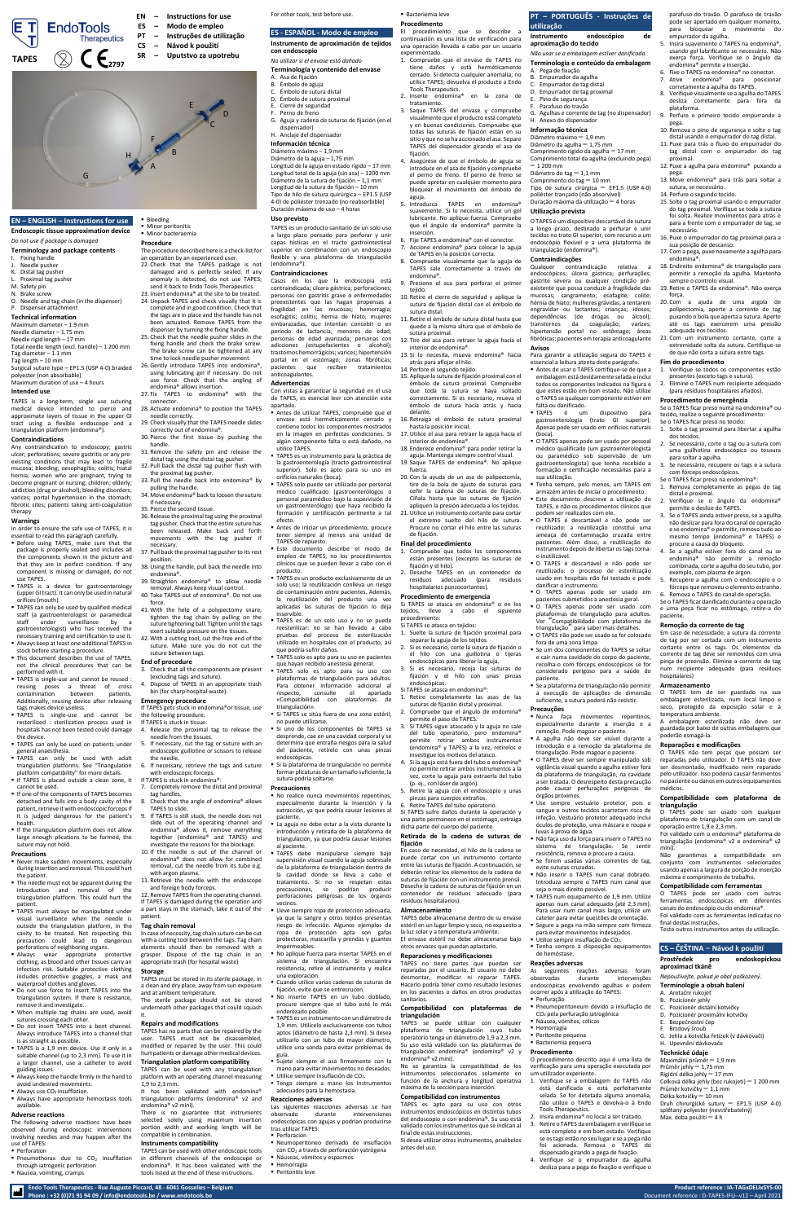**Endo Tools Therapeutics - Rue Auguste Piccard, 48 - 6041 Gosselies – Belgium Product reference : IA-TAGxDELIxSYS-00 Phone : +32 (0)71 91 94 09 / info@endotools.be / www.endotools.be** Document reference : D-TAPES-IFU--v12 – April 2021

# **EN – ENGLISH – Instructions for use**

# **Endoscopic tissue approximation device**

# *Do not use if package is damaged*

# **Terminology and package contents**

- Fixing handl Needle pusher
- Distal tag pushe
- Proximal tag pusher
- M. Safety pin
- N. Brake screw
- O. Needle and tag chain (in the dispenser) P. Dispenser attachment

# **Technical information**

- Maximum diameter 1.9 mm Needle diameter – 1.75 mm Needle rigid length – 17 mm Total needle length (excl. handle) – 1 200 mm Tag diameter – 1.1 mm
- Tag length 10 mm Surgical suture type – EP1.5 (USP 4-0) braided
- polyester (non absorbable)
- Maximum duration of use 4 hours

# **Intended use**

TAPES is a long-term, single use suturing medical device intended to pierce and approximate layers of tissue in the upper G tract using a flexible endoscope and a triangulation platform (endomina®).

# **Contraindications**

Any contraindication to endoscopy; gastric ulcer; perforations; severe gastritis or any preexisting conditions that may lead to fragile mucosa; bleeding; oesophagitis; colitis; hiatal hernia; women who are pregnant, trying to become pregnant or nursing; children; elderly; addiction (drug or alcohol); bleeding disorders; varices; portal hypertension in the stomach; fibrotic sites; patients taking anti-coagulation therapy

# **Warnings**

In order to ensure the safe use of TAPES, it is essential to read this paragraph carefully.

- **E** Before using TAPES, make sure that the package is properly sealed and includes all the components shown in the picture and that they are in perfect condition. If any component is missing or damaged, do not use TAPES. **· TAPES** is a device for gastroenterology
- (upper GI tract). It can only be used in natural orifices (mouth).
- **TAPES can only be used by qualified medical** staff (a gastroenterologist or paramedical staff under surveillance by gastroenterologist) who has received the necessary training and certification to use it. ■ Always keep at least one additional TAPES in
- stock before starting a procedure. ■ This document describes the use of TAPES,
- not the clinical procedures that can be performed with it. ■ TAPES is single-use and cannot be reused :
- reusing poses a threat of cross contamination between patients. Additionally, reusing device after releasing tags makes device useless.
- TAPES is single-use and cannot

- TAPES can only be used on patients under general anaesthesia.
- **EXAMES** can only be used with adult triangulation platforms. See "Triangulation platform compatibility" for more details.
- **If TAPES** is placed outside a clean zone, it cannot be used.
- If one of the components of TAPES becomes detached and falls into a body cavity of the patient, retrieve it with endoscopic forceps if it is judged dangerous for the patient's health.
- **.** If the triangulation platform does not allow large enough plications to be formed, the suture may not hold.

- Never make sudden movements, especially during insertion and removal. This could hurt the patient.
- The needle must not be apparent during the introduction and removal of the triangulation platform. This could hurt the patient.
- **E** TAPES must always be manipulated under visual surveillance when the needle is outside the triangulation platform, in the cavity to be treated. Not respecting this precaution could lead to dangerous perforations of neighboring organs.
- **E** Always wear appropriate protective clothing, as blood and other tissues carry an infection risk. Suitable protective clothing includes protective goggles, a mask and waterproof clothes and gloves.
- Do not use force to insert TAPES into the triangulation system. If there is resistance, remove it and investigate.
- When multiple tag chains are used, avoid sutures crossing each other.
- Do not insert TAPES into a bent channel. Always introduce TAPES into a channel that is as straight as possible.
- TAPES is a 1,9 mm device. Use it only in a suitable channel (up to 2,3 mm). To use it in a larger channel, use a catheter to avoid guiding issues.
- Always keep the handle firmly in the hand to avoid undesired movements.
- $\blacksquare$  Always use CO<sub>2</sub> insufflation.
- **E** Always have appropriate hemostasis tools available.

#### **Minor peritonitis** ▪ Minor bacteraemia

resterilized : sterilization process used in hospitals has not been tested could damage the device.

#### **Precautions**

#### **Adverse reactions**

It has been validated with endomina® triangulation platforms (endomina® v2 and endomina® v2 mini).

The following adverse reactions have been observed during endoscopic interventions involving needles and may happen after the use of TAPES:

■ Perforation

<u>ш</u>

- **Pneumothorax due to**  $CO<sub>2</sub>$  **insufflation** through iatrogenic perforation
- Nausea, vomiting, cramps

▪ Bleeding

## **Procedure**

The procedure described here is a check-list for an operation by an experienced user. 22. Check that the TAPES package is not damaged and is perfectly sealed. If any anomaly is detected, do not use TAPES; send it back to Endo Tools Therapeutics. 23. Insert endomina® at the site to be treated. 24.Unpack TAPES and check visually that it is complete and in good condition. Check that the tags are in place and the handle has not been actuated. Remove TAPES from the dispenser by turning the fixing handle.

- 25. Check that the needle pusher slides in the fixing handle and check the brake screw. The brake screw can be tightened at any time to lock needle pusher movement. 26.Gently introduce TAPES into endomina®,
- using lubricating gel if necessary. Do not use force. Check that the angling of endomina® allows insertion.
- 27. Fix TAPES to endomina® with the connector.
- 28. Actuate endomina® to position the TAPES needle correctly.
- 29. Check visually that the TAPES needle slides correctly out of endomina®.
- 30. Pierce the first tissue by pushing the handle.
- 31. Remove the safety pin and release the distal tag using the distal tag pusher. 32. Pull back the distal tag pusher flush with
- the proximal tag pusher. 33. Pull the needle back into endomina® by
- pulling the handle. 34. Move endomina® back to loosen the suture
- if necessary. 35. Pierce the second tissue.
- 36. Release the proximal tag using the proximal
- tag pusher. Check that the entire suture has been released. Make back and forth movements with the tag pusher if necessary.
- 37. Pull back the proximal tag pusher to its rest position.
- 38.Using the handle, pull back the needle into endomina®.
- 39. Straighten endomina® to allow needle removal. Always keep visual control. 40. Take TAPES out of endomina®. Do not use
- force 41. With the help of a polypectomy snare,
- tighten the tag chain by pulling on the suture tightening ball. Tighten until the tags exert suitable pressure on the tissues. 42. With a cutting tool, cut the free end of the
- suture. Make sure you do not cut the suture between tags.

# **End of procedure**

- 3. Check that all the components are present (excluding tags and suture).
- Dispose of TAPES in an appropriate trash bin (for sharp hospital waste).

# **Emergency procedure**

If TAPES gets stuck in endomina®or tissue, use the following procedure:

If TAPES is stuck in tissue: 4. Release the proximal tag to release the needle from the tissues.

- **I** No realice nunca movimientos repentinos, especialmente durante la inserción y la extracción, ya que podría causar lesiones al paciente.
- La aguja no debe estar a la vista durante la introducción y retirada de la plataforma de triangulación, ya que podría causar lesiones al paciente.
- TAPES debe manipularse siempre bajo supervisión visual cuando la aguja sobresale de la plataforma de triangulación dentro de la cavidad donde se lleva a cabo el tratamiento. Si no se respetan estas precauciones, se podrían producir perforaciones peligrosas de los órganos vecinos.
- **· Lleve siempre ropa de protección adecuada,** ya que la sangre y otros tejidos presentan riesgo de infección. Algunos ejemplos de ropa de protección apta son gafas protectoras, mascarilla y prendas y guantes impermeables.
- No aplique fuerza para insertar TAPES en el sistema de triangulación. Si encuentra resistencia, retire el instrumento y realice una exploración.
- Cuando utilice varias cadenas de suturas de fijación, evite que se entrecrucen.
- No inserte TAPES en un tubo doblado, procure siempre que el tubo esté lo más enderezado posible.
- TAPES es un instrumento con un diámetro de 1,9 mm. Utilícelo exclusivamente con tubos aptos (diámetro de hasta 2,3 mm). Si desea utilizarlo con un tubo de mayor diámetro, utilice una sonda para evitar problemas de guía.
- Sujete siempre el asa firmemente con la mano para evitar movimientos no deseados. Utilice siempre insuflación de CO<sub>2</sub>.
- 
- **Tenga siempre a mano los instrumentos** adecuados para la hemostasia.
- 5. If necessary, cut the tag or suture with an endoscopic guillotine or scissors to release the needle.
- 6. If necessary, retrieve the tags and suture with endoscopic forceps.
- If TAPES is stuck in endomina®:
- 7. Completely remove the distal and proximal tag handles.
- 8. Check that the angle of endomina® allows TAPES to slide.
- 9. If TAPES is still stuck, the needle does not slide out of the operating channel and endomina® allows it, remove everything together (endomina® and TAPES) and investigate the reasons for the blockage.
- 10. If the needle is out of the channel or endomina® does not allow for combined removal, cut the needle from its tube e.g. with argon plasma.
- 11. Retrieve the needle with the endoscope and foreign body forceps.
- 12. Remove TAPES from the operating channel. If TAPES is damaged during the operation and a part stays in the stomach, take it out of the patient.

#### **Tag chain removal**

In case of necessity, tag chain suture can be cut with a cutting tool between the tags. Tag chain elements should then be removed with a grasper. Dispose of the tag chain in an appropriate trash (for hospital waste)

#### **Storage**

TAPES must be stored in its sterile package, in a clean and dry place, away from sun exposure and at ambient temperature.

The sterile package should not be stored underneath other packages that could squash it.

#### **Repairs and modifications**

TAPES has no parts that can be repaired by the user. TAPES must not be disassembled, modified or repaired by the user. This could hurt patients or damage other medical devices.

#### **Triangulation platform compatibility**

TAPES can be used with any triangulation platform with an operating channel measuring 1,9 to 2,3 mm.

There is no guarantee that instruments selected solely using maximum insertion portion width and working length will be compatible in combination.

#### **Instruments compatibility**

TAPES can be used with other endoscopic tools in different channels of the endoscope or endomina®. It has been validated with the tools listed at the end of these instructions.

For other tools, test before use.

# **ES - ESPAÑOL - Modo de empleo**

**Instrumento de aproximación de tejidos con endoscopio**

# *No utilizar si el envase está dañado*

**Terminología y contenido del envase**

- A. Asa de fijación
- B. Émbolo de aguja C. Émbolo de sutura distal
- D. Émbolo de sutura proximal
- E. Cierre de seguridad
- F. Perno de freno
- G. Aguja y cadena de suturas de fijación (en el dispensador)
- H. Anclaje del dispensador
- **Información técnica**
- Diámetro máximo 1,9 mm

Diámetro de la aguja – 1,75 mm Longitud de la aguja en estado rígido – 17 mm Longitud total de la aguja (sin asa) – 1200 mm Diámetro de la sutura de fijación – 1,1 mm Longitud de la sutura de fijación – 10 mm Tipo de hilo de sutura quirúrgica – EP1.5 (USP 4-0) de poliéster trenzado (no reabsorbible)

#### Duración máxima de uso – 4 horas **Uso previsto**

TAPES es un producto sanitario de un solo uso a largo plazo pensado para perforar y unir capas hísticas en el tracto gastrointestinal superior en combinación con un endoscopio flexible y una plataforma de triangulación (endomina®).

#### **Contraindicaciones**

Diâmetro do tag – 1,1 mm Comprimento do tag  $-10$  mm

Casos en los que la endoscopia está contraindicada; úlcera gástrica; perforaciones; personas con gastritis grave o enfermedades preexistentes que las hagan propensas a fragilidad en las mucosas; hemorragia; esofagitis; colitis; hernia de hiato; mujeres embarazadas, que intentan concebir o en período de lactancia; menores de edad; personas de edad avanzada; personas con adicciones (estupefacientes o alcohol); trastornos hemorrágicos; varices; hipertensión portal en el estómago; zonas fibróticas; pacientes que reciben tratamientos anticoagulantes.

#### **Advertencias**

é um dispositivo para gastroenterologia (trato GI superior). Apenas pode ser usado em orifícios naturais

O TAPES apenas pode ser usado por pessoal médico qualificado (um gastroenterologista ou paramédico sob supervisão de um gastroenterologista) que tenha recebido a formação e certificação necessárias para a

Tenha sempre, pelo menos, um TAPES em armazém antes de iniciar o procedimento. Este documento descreve a utilização do TAPES, e não os procedimentos clínicos que

O TAPES é descartável e não pode ser reutilizado: a reutilização constitui uma ameaça de contaminação cruzada entre pacientes. Além disso, a reutilização do instrumento depois de libertar os tags torna-

O TAPES é descartável e não pode ser reutilizado: o processo de esterilização usado em hospitais não foi testado e pode

O TAPES apenas pode ser usado em pacientes submetidos a anestesia geral. ▪ O TAPES apenas pode ser usado com plataformas de triangulação para adultos. Ver "Compatibilidade com plataforma de triangulação" para saber mais detalhes. ▪ O TAPES não pode ser usado se for colocado

Se um dos componentes do TAPES se soltar e cair numa cavidade do corpo do paciente, recolha-o com fórceps endoscópicos se for considerado perigoso para a saúde do

■ Se a plataforma de triangulação não permitir a execução de aplicações de dimensão suficiente, a sutura poderá não resistir.

Pneumoperitoneum devido a insuflação de CO<sup>2</sup> pela perfuração iatrogénica

**E** Hemorragia ▪ Peritonite pequena ■ Bacteriemia pequena **Procedimento** 

no puede utilizarse.

- Si uno de los componentes de TAPES se desprende, cae en una cavidad corporal y se determina que entraña riesgos para la salud del paciente, retírelo con unas pinzas endoscópicas.
- Si la plataforma de triangulación no permite formar plicaturas de un tamaño suficiente, la sutura podría soltarse.

#### **Precauciones**

Se necessário, corte o tag ou a sutura com uma guilhotina endoscópica ou tesoura

Se necessário, recupere os tags e a sutura

2. Verifique se o ângulo da endomina® permite o deslize do TAPES.

Se o TAPES ainda estiver preso, se a agulha não deslizar para fora do canal de operação e se endomina® o permitir, remova tudo ao mesmo tempo (endomina® e TAPES) e

Se a agulha estiver fora do canal ou se endomina® não permitir a remoção combinada, corte a agulha do seu tubo, por

#### **Reacciones adversas**

- Con vistas a garantizar la seguridad en el uso de TAPES, es esencial leer con atención este apartado.
- Antes de utilizar TAPES, compruebe que el envase está herméticamente cerrado y contiene todos los componentes mostrados en la imagen en perfectas condiciones. Si algún componente falta o está dañado, no utilice TAPES.
- TAPES es un instrumento para la práctica de la gastroenterología (tracto gastrointestinal superior). Solo es apto para su uso en
- orificios naturales (boca). ▪ TAPES solo puede ser utilizado por personal médico cualificado (gastroenterólogos o personal paramédico bajo la supervisión de un gastroenterólogo) que haya recibido la formación y certificación pertinente a tal
- efecto. ▪ Antes de iniciar un procedimiento, procure tener siempre al menos una unidad de
	- TAPES de repuesto. Este documento describe el modo de empleo de TAPES, no los procedimientos clínicos que se pueden llevar a cabo con el
- producto. TAPES es un producto exclusivamente de un solo uso: la reutilización conlleva un riesgo de contaminación entre pacientes. Además, la reutilización del producto una vez aplicadas las suturas de fijación lo deja
- inservible. ▪ TAPES es de un solo uso y no se puede reesterilizar: no se han llevado a cabo pruebas del proceso de esterilización
- utilizado en hospitales con el producto, así que podría sufrir daños. **TAPES solo es apto para su uso en pacientes**
- que hayan recibido anestesia general.
- TAPES solo es apto para su uso con plataformas de triangulación para adultos. Para obtener información adicional al respecto, consulte el apartado «Compatibilidad con plataformas de triangulación».
- Si TAPES se sitúa fuera de una zona estéril, 2. Compruebe que el ángulo de endomina®

# ■ Bacteriemia leve

Las siguientes reacciones adversas se han observado durante intervenciones endoscópicas con agujas y podrían producirse tras utilizar TAPES:

- Perforación
- Neumoperitoneo derivado de insuflación con CO<sup>2</sup> a través de perforación yatrógena
- Náuseas, vómitos y espasmos ■ Hemorragia
- Peritonitis leve

# **Procedimento**

El procedimiento que se describe a continuación es una lista de verificación para

una operación llevada a cabo por un usuario experimentado. 1. Compruebe que el envase de TAPES no tiene daños y está herméticamente cerrado. Si detecta cualquier anomalía, no utilice TAPES; devuelva el producto a Endo Tools Therapeutics.

- 2. Inserte endomina® en la zona de tratamiento.
- 3. Saque TAPES del envase y compruebe visualmente que el producto está completo y en buenas condiciones. Compruebe que todas las suturas de fijación están en su sitio y que no se ha accionado el asa. Separe TAPES del dispensador girando el asa de fijación.
- 4. Asegúrese de que el émbolo de aguja se introduce en el asa de fijación y compruebe el perno de freno. El perno de freno se puede apretar en cualquier momento para bloquear el movimiento del émbolo de
- aguja.<br>5. Introduzca TAPES en endomina® suavemente. Si lo necesita, utilice un gel lubricante. No aplique fuerza. Compruebe que el ángulo de endomina® permite la inserción.

6. Fije TAPES a endomina® con el conector. Accione endomina® para colocar la aguja de TAPES en la posición correcta. Compruebe visualmente que la aguja de TAPES sale correctamente a través de

endomina®.

9. Presione el asa para perforar el primer

10. Retire el cierre de seguridad y aplique la sutura de fijación distal con el émbolo de

sutura distal.

11. Retire el émbolo de sutura distal hasta que quede a la misma altura que el émbolo de

sutura proximal.

12. Tire del asa para retraer la aguja hacia el

interior de endomina®.

13. Si lo necesita, mueva endomina® hacia

atrás para aflojar el hilo. 14. Perfore el segundo tejido.

15. Aplique la sutura de fijación proximal con el émbolo de sutura proximal. Compruebe que toda la sutura se haya soltado correctamente. Si es necesario, mueva el émbolo de sutura hacia atrás y hacia

delante.

16. Retraiga el émbolo de sutura proximal

hasta la posición inicial.

17.Utilice el asa para retraer la aguja hacia el

interior de endomina®.

tejido.

18. Enderece endomina® para poder retirar la aguja. Mantenga siempre control visual. 19. Saque TAPES de endomina®. No aplique

fuerza.

20. Con la ayuda de un asa de polipectomía, tire de la bola de ajuste de suturas para ceñir la cadena de suturas de fijación. Cíñala hasta que las suturas de fijación apliquen la presión adecuada a los tejidos. 21.Utilice un instrumento cortante para cortar el extremo suelto del hilo de sutura. Procure no cortar el hilo entre las suturas

de fijación. **Final del procedimiento**

1. Compruebe que todos los componentes están presentes (excepto las suturas de

fijación y el hilo).

2. Deseche TAPES en un contenedor de residuos adecuado (para residuos

hospitalarios punzocortantes). **Procedimiento de emergencia**

Si TAPES se atasca en tejidos:

Si TAPES se atasca en endomina® o en los tejidos, lleve a cabo el siguiente

procedimiento:

1. Suelte la sutura de fijación proximal para separar la aguja de los tejidos. 2. Si es necesario, corte la sutura de fijación o el hilo con una guillotina o tijeras endoscópicas para liberar la aguja. 3. Si es necesario, recoja las suturas de fijación y el hilo con unas pinzas

endoscópicas.

Si TAPES se atasca en endomina®:

1. Retire completamente las asas de las suturas de fijación distal y proximal.

permite el paso de TAPES.

- 3. Si TAPES sigue atascado y la aguja no sale del tubo operatorio, pero endomina® permite retirar ambos instrumentos (endomina® y TAPES) a la vez, retírelos e investigue los motivos del atasco.
- 4. Si la aguja está fuera del tubo o endomina® no permite retirar ambos instrumentos a la vez, corte la aguja para extraerla del tubo (p. ej., con láser de argón).
- 5. Retire la aguja con el endoscopio y unas pinzas para cuerpos extraños.
- 6. Retire TAPES del tubo operatorio.
- Si TAPES sufre daños durante la operación y una parte permanece en el estómago, extraiga dicha parte del cuerpo del paciente.

#### **Retirada de la cadena de suturas de fijación**

En caso de necesidad, el hilo de la cadena se puede cortar con un instrumento cortante entre las suturas de fijación. A continuación, se deberán retirar los elementos de la cadena de suturas de fijación con un instrumento prensil. Deseche la cadena de suturas de fijación en un contenedor de residuos adecuado (para residuos hospitalarios).

#### **Almacenamiento**

TAPES debe almacenarse dentro de su envase estéril en un lugar limpio y seco, no expuesto a la luz solar y a temperatura ambiente. El envase estéril no debe almacenarse bajo otros envases que puedan aplastarlo.

#### **Reparaciones y modificaciones**

TAPES no tiene partes que puedan ser reparadas por el usuario. El usuario no debe desmontar, modificar ni reparar TAPES. Hacerlo podría tener como resultado lesiones en los pacientes o daños en otros productos sanitarios.

#### **Compatibilidad con plataformas de triangulación**

TAPES se puede utilizar con cualquier plataforma de triangulación cuyo tubo operatorio tenga un diámetro de 1,9 a 2,3 mm. Su uso está validado con las plataformas de triangulación endomina® (endomina® v2 y endomina® v2 mini).

#### **Compatibilidad con instrumentos**

TAPES es apto para su uso con otros instrumentos endoscópicos en distintos tubos del endoscopio o con endomina®. Su uso está validado con los instrumentos que se indican al final de estas instrucciones.

Si desea utilizar otros instrumentos, pruébelos antes del uso.

**PT – PORTUGUÊS - Instruções de** 

**utilização**

**Instrumento endoscópico de** 

**aproximação do tecido**

*Não usar se a embalagem estiver danificada* **Terminologia e conteúdo da embalagem**

A. Pega de fixação B. Empurrador da agulha C. Empurrador de tag distal D. Empurrador de tag proximal E. Pino de segurança F. Parafuso do travão

G. Agulhas e corrente de tag (no dispensador)

H. Anexo do dispensador **Informação técnica** Diâmetro máximo – 1,9 mm Diâmetro da agulha – 1,75 mm Comprimento rígido da agulha – 17 mm Comprimento total da agulha (excluindo pega)

– 1 200 mm

Tipo de sutura cirúrgica – EP1.5 (USP 4-0)

poliéster trançado (não absorvível) Duração máxima da utilização – 4 horas

**Utilização prevista**

O TAPES é um dispositivo descartável de sutura a longo prazo, destinado a perfurar e unir tecidos no trato GI superior, com recurso a um endoscópio flexível e a uma plataforma de

triangulação (endomina®). **Contraindicações**

Qualquer contraindicação relativa a endoscópicos; úlcera gástrica; perfurações; gastrite severa ou qualquer condição préexistente que possa conduzir à fragilidade das mucosas; sangramento; esofagite; colite; hérnia de hiato; mulheres grávidas, a tentarem engravidar ou lactantes; crianças; idosos; dependências (de drogas ou álcool); transtornos da coagulação; varizes; hipertensão portal no estômago; áreas fibróticas; pacientes em terapia anticoagulante

**Avisos**

Para garantir a utilização segura do TAPES é essencial a leitura atenta deste parágrafo. ▪ Antes de usar o TAPES certifique-se de que a embalagem está devidamente selada e inclui todos os componentes indicados na figura e que estes estão em bom estado. Não utilize o TAPES se qualquer componente estiver em

falta ou danificado.

(boca).

sua utilização.

podem ser realizados com ele.

No se garantiza la compatibilidad de los instrumentos seleccionados solamente en función de la anchura y longitud operativa máxima de la sección para inserción. verificação para uma operação executada por 1. Verifique se a embalagem do TAPES não

o inutilizável.

danificar o instrumento.

fora de uma zona limpa.

paciente.

**Precauções**

- Nunca faça movimentos repentinos, especialmente durante a inserção e a remoção. Pode magoar o paciente.
- A agulha não deve ser visível durante a introdução e a remoção da plataforma de triangulação. Pode magoar o paciente. poderão esmagá-la. **Reparações e modificações** O TAPES não tem peças que possam ser
- O TAPES deve ser sempre manipulado sob vigilância visual quando a agulha estiver fora da plataforma de triangulação, na cavidade a ser tratada. O desrespeito desta precaução pode causar perfurações perigosas de órgãos próximos.
- Use sempre vestuário protetor, pois o sangue e outros tecidos acarretam risco de infeção. Vestuário protetor adequado inclui óculos de proteção, uma máscara e roupa e luvas à prova de água.
- Não faça uso da força para inserir o TAPES no sistema de triangulação. Se sentir resistência, remova e procure a causa.
- Se forem usadas várias correntes de tag, evite suturas cruzadas.
- Não inserir o TAPES num canal dobrado. Introduza sempre o TAPES num canal que seja o mais direito possível.
- TAPES num equipamento de 1,9 mm. Utilize apenas num canal adequado (até 2,3 mm). Para usar num canal mais largo, utilize um cateter para evitar questões de orientação.
- Segure a pega na mão sempre com firmeza para evitar movimentos indesejados.
- Utilize sempre insuflação de CO2.
- Tenha sempre à disposição equipamentos de hemóstase.

#### **Reações adversas**

As seguintes reações adversas foram observadas durante intervenções endoscópicas envolvendo agulhas e podem ocorrer após a utilização do TAPES:

▪ Perfuração

O procedimento descrito aqui é uma lista de

um utilizador experiente.

está danificada e está perfeitamente selada. Se for detetada alguma anomalia, não utilize o TAPES e devolva-o à Endo

Tools Therapeutics.

Náusea, vómitos, cólicas

2. Insira endomina® no local a ser tratado. 3. Retire o TAPES da embalagem e verifique se está completo e em bom estado. Verifique se os tags estão no seu lugar e se a pega não foi acionada. Remova o TAPES do dispensado girando a pega de fixação. 4. Verifique se o empurrador da agulha desliza para a pega de fixação e verifique o parafuso do travão. O parafuso de travão pode ser apertado em qualquer momento, para bloquear o movimento do

empurrador da agulha.

5. Insira suavemente o TAPES na endomina®, usando gel lubrificante se necessário. Não exerça força. Verifique se o ângulo da

endomina® permite a inserção. 6. Fixe o TAPES na endomina® no conector. 7. Ative endomina® para posicionar corretamente a agulha do TAPES. 8. Verifique visualmente se a agulha do TAPES desliza corretamente para fora da

plataforma.

9. Perfure o primeiro tecido empurrando a

pega.

10. Remova o pino de segurança e solte o tag distal usando o empurrador do tag distal. 11. Puxe para trás o fluxo do empurrador do tag distal com o empurrador do tag

proximal.

12. Puxe a agulha para endomina® puxando a

pega.

13. Move endomina® para trás para soltar a

sutura, se necessário. 14. Perfure o segundo tecido.

15. Solte o tag proximal usando o empurrador do tag proximal. Verifique se toda a sutura foi solta. Realize movimentos para atrás e para a frente com o empurrador de tag, se

necessário.

16. Puxe o empurrador do tag proximal para a

sua posição de descanso.

17. Com a pega, puxe novamente a agulha para

endomina®.

18. Endireite endomina® de triangulação para permitir a remoção da agulha. Mantenha

sempre o controlo visual.

19. Retire o TAPES da endomina®. Não exerça

força.

20. Com a ajuda de uma argola de polipectomia, aperte a corrente de tag puxando o bola que aperta a sutura. Aperte até os tags exercerem uma pressão

adequada nos tecidos.

21. Com um instrumento cortante, corte a extremidade solta da sutura. Certifique-se de que não corta a sutura entre tags.

**Fim do procedimento**

1. Verifique se todos os componentes estão presentes (exceto tags e sutura). 2. Elimine o TAPES num recipiente adequado (para resíduos hospitalares afiados). **Procedimento de emergência**

Se o TAPES ficar preso numa na endomina® ou tecido, realize o seguinte procedimento: Se o TAPES ficar preso no tecido:

1. Solte o tag proximal para libertar a agulha

dos tecidos.

para soltar a agulha.

com fórceps endoscópicos. Se o TAPES ficar preso na endomina®: 1. Remova completamente as pegas do tag

distal e proximal.

procure a causa do bloqueio.

exemplo, com plasma de árgon.

5. Recupere a agulha com o endoscópio e o fórceps que removeu o elemento estranho. 6. Remova o TAPES do canal de operação. Se o TAPES ficar danificado durante a operação e uma peça ficar no estômago, retire-a do

paciente.

**Remoção da corrente de tag**

Em caso de necessidade, a sutura da corrente de tag por ser cortada com um instrumento cortante entre os tags. Os elementos da corrente de tag deve ser removidos com uma pinça de preensão. Elimine a corrente de tag num recipiente adequado (para resíduos

hospitalares) **Armazenamento**

O TAPES tem de ser guardado na sua embalagem esterilizada, num local limpo e seco, protegido da exposição solar e à

temperatura ambiente.

A embalagem esterilizada não deve ser guardada por baixo de outras embalagens que

reparadas pelo utilizador. O TAPES não deve ser desmontado, modificado nem reparado pelo utilizador. Isso poderia causar ferimentos no paciente ou danos em outros equipamentos

médicos.

**Compatibilidade com plataforma de** 

**triangulação**

O TAPES pode ser usado com qualquer plataforma de triangulação com um canal de

operação entre 1,9 e 2,3 mm.

Foi validado com o endomina® plataforma de triangulação (endomina® v2 e endomina® v2

mini).

Não garantimos a compatibilidade em conjunto com instrumentos selecionados usando apenas a largura de porção de inserção máxima e comprimento de trabalho. **Compatibilidade com ferramentas** O TAPES pode ser usado com outras ferramentas endoscópicas em diferentes canais do endoscópio ou do endomina®. Foi validado com as ferramentas indicadas no

final destas instruções.

Teste outros instrumentos antes da utilização.

**CS – ČEŠTINA** – **Návod k použití Prostředek pro endoskopickou** 

**aproximaci tkáně**

*Nepoužívejte, pokud je obal poškozený.* **Terminologie a obsah balení**

A. Aretační rukojeť B. Pozicionér jehly

C. Pozicionér distální kotvičky D. Pozicionér proximální kotvičky

E. Bezpečnostní čep F. Brzdový šroub

G. Jehla a kotvička řetízek (v dávkovači)

H. Upevnění dávkovače **Technické údaje**

Maximální průměr – 1,9 mm Průměr jehly – 1,75 mm Rigidní délka jehly – 17 mm

Celková délka jehly (bez rukojeti) – 1 200 mm

Průměr kotvičky – 1,1 mm Délka kotvičky – 10 mm

Max. doba použití  $-4 h$ 

Druh chirurgické sutury – EP1.5 (USP 4-0)

splétaný polyester (nevstřebatelný)

# A B D C E F G H

# **EN – Instructions for use ES – Modo de empleo**

**PT – Instruções de utilização**

**CS – Návod k použití**

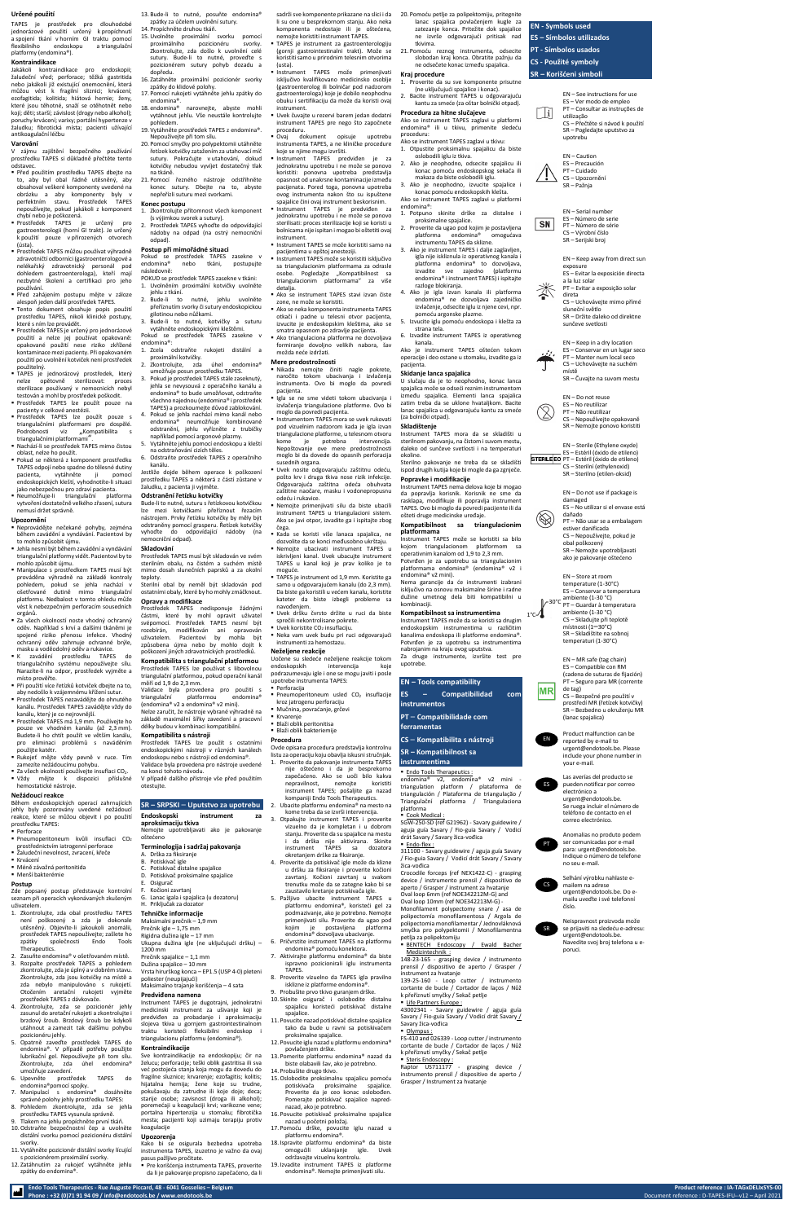



#### **Určené použití**

TAPES je prostředek pro dlouhodobé jednorázové použití určený k propíchnutí a spojení tkání v horním GI traktu pomocí flexibilního endoskopu a triangulační platformy (endomina®).

# **Kontraindikace**

Jakákoli kontraindikace pro endoskopii; žaludeční vřed; perforace; těžká gastritida nebo jakákoli již existující onemocnění, která můžou vést k fragilní sliznici; krvácení; ezofagitida; kolitida; hiátová hernie; ženy, které jsou těhotné, snaží se otěhotnět nebo kojí; děti; starší; závislost (drogy nebo alkohol); poruchy krvácení; varixy; portální hypertenze v žaludku; fibrotická místa; pacienti užívající antikoagulační léčbu

#### **Varování**

V zájmu zajištění bezpečného používání prostředku TAPES si důkladně přečtěte tento odstavec.

- Před použitím prostředku TAPES dbejte na to, aby byl obal řádně utěsněný, aby obsahoval veškeré komponenty uvedené na obrázku a aby komponenty byly v perfektním stavu. Prostředek TAPES nepoužívejte, pokud jakákoli z komponent chybí nebo je poškozená.
- Prostředek TAPES je určený pro gastroenterologii (horní GI trakt). Je určený k použití pouze v přirozených otvorech (ústa).
- Prostředek TAPES můžou používat výhradně zdravotničtí odborníci (gastroenterologové a nelékařský zdravotnický personál pod dohledem gastroenterologa), kteří mají nezbytné školení a certifikaci pro jeho používání.
- Před zahájením postupu mějte v záloze alespoň jeden další prostředek TAPES. ▪ Tento dokument obsahuje popis použití
- prostředku TAPES, nikoli klinické postupy, které s ním lze provádět. ▪ Prostředek TAPES je určený pro jednorázové
- použití a nelze jej používat opakovaně: opakované použití nese riziko zkřížené kontaminace mezi pacienty. Při opakovaném použití po uvolnění kotviček není prostředek použitelný.
- TAPES je jednorázový prostředek, který nelze opětovně sterilizovat: proces sterilizace používaný v nemocnicích nebyl testován a mohl by prostředek poškodit. ▪ Prostředek TAPES lze použít pouze na
- pacienty v celkové anestézii. ▪ Prostředek TAPES lze použít pouze s triangulačními platformami pro dospělé.
- Podrobnosti viz "Kompatibilita s triangulačními platformami". ▪ Nachází-li se prostředek TAPES mimo čistou oblast, nelze ho použít.
- Pokud se některá z komponent prostředku TAPES odpojí nebo spadne do tělesné dutiny pacienta, vytáhněte ji pomocí endoskopických kleští, vyhodnotíte-li situaci jako nebezpečnou pro zdraví pacienta.
- Neumožňuje-li triangulační platforma vytvoření dostatečně velkého zřasení, sutura nemusí držet správně.

- Perforace
- Pneumoperitoneum kvůli insuflaci CO<sup>2</sup> prostřednictvím iatrogenní perforace
- Žaludeční nevolnost, zvracení, křeče ■ Krvácení
- Méně závažná peritonitida
- Menší bakterémie

#### **Upozornění**

13. Bude-li to nutné, posuňte endomina® zpátky za účelem uvolnění sutury. 14. Propíchněte druhou tkáň.

- Neprovádějte nečekané pohyby, zejména během zavádění a vyndávání. Pacientovi by to mohlo způsobit újmu.
- Jehla nesmí být během zavádění a vyndávání triangulační platformy vidět. Pacientovi by to mohlo způsobit újmu.
- Manipulace s prostředkem TAPES musí být prováděna výhradně na základě kontroly pohledem, pokud se jehla nachází v ošetřované dutině mimo triangulační platformu. Nedbalost v tomto ohledu může vést k nebezpečným perforacím sousedních orgánů.
- Za všech okolností noste vhodný ochranný oděv. Například s krví a dalšími tkáněmi je spojené riziko přenosu infekce. Vhodný ochranný oděv zahrnuje ochranné brýle, masku a voděodolný oděv a rukavice.
- K zavádění prostředku TAPES do triangulačního systému nepoužívejte sílu. Narazíte-li na odpor, prostředek vyjměte a místo prověřte. ▪ Při použití více řetízků kotviček dbejte na to,
- aby nedošlo k vzájemnému křížení sutur. ▪ Prostředek TAPES nezavádějte do ohnutého kanálu. Prostředek TAPES zavádějte vždy do kanálu, který je co nejrovnější.
- Zkontrolujte přítomnost všech komponent (s výjimkou svorek a sutury).
- 2. Prostředek TAPES vyhoďte do odpovídající nádoby na odpad (na ostrý nemocniční odpad).

- Prostředek TAPES má 1,9 mm. Používejte ho pouze ve vhodném kanálu (až 2,3 mm). Budete-li ho chtít použít ve větším kanálu, pro eliminaci problémů s naváděním použijte katétr.
- Rukojeť mějte vždy pevně v ruce. Tím zamezíte nežádoucímu pohybu.
- Za všech okolností používejte insuflaci CO<sub>2</sub>.
- Vždy mějte k dispozici příslušné hemostatické nástroje.

## **Nežádoucí reakce**

Během endoskopických operací zahrnujících jehly byly pozorovány uvedené nežádoucí reakce, které se můžou objevit i po použití prostředku TAPES:

#### **Postup**

Zde popsaný postup představuje kontrolní seznam při operacích vykonávaných zkušeným uživatelem.

#### **Endoskopski** instrument **aproksimaciju tkiva** Nemojte upotrebljavati ako je pakovanje oštećeno

- 1. Zkontrolujte, zda obal prostředku TAPES není poškozený a zda je dokonale utěsněný. Objevíte-li jakoukoli anomálii, prostředek TAPES nepoužívejte; zašlete ho zpátky společnosti Endo Tools Therapeutics.
- 2. Zasuňte endomina® v ošetřovaném místě.
- 3. Rozpalte prostředek TAPES a pohledem zkontrolujte, zda je úplný a v dobrém stavu. Zkontrolujte, zda jsou kotvičky na místě a zda nebylo manipulováno s rukojetí. Otočením aretační rukojeti vyjměte prostředek TAPES z dávkovače.
- 4. Zkontrolujte, zda se pozicionér jehly zasunul do aretační rukojeti a zkontrolujte i brzdový šroub. Brzdový šroub lze kdykoli utáhnout a zamezit tak dalšímu pohybu pozicionéru jehly.
- 5. Opatrně zaveďte prostředek TAPES do endomina®. V případě potřeby použijte lubrikační gel. Nepoužívejte při tom sílu. Zkontroluite, zda úhel endomina® umožňuje zavedení.
- 6. Upevněte prostředek TAPES do endomina®pomocí spojky.
- 7. Manipulací s endomina® dosáhněte správné polohy jehly prostředku TAPES: 8. Pohledem zkontrolujte, zda se jehla
- prostředku TAPES vysunula správně. 9. Tlakem na jehlu propíchněte první tkáň.
- 10.Odstraňte bezpečnostní čep a uvolněte distální svorku pomocí pozicionéru distální svorky.
- 11. Vytáhněte pozicionér distální svorky lícující s pozicionérem proximální svorky.
- 12. Zatáhnutím za rukojeť vytáhněte jehlu zpátky do endomina®.

**TAPES** je instrument za gastroenterologiju (gornji gastrointestinalni trakt). Može se koristiti samo u prirodnim telesnim otvorima (usta). ▪ Instrument TAPES može primenjivati

iskliučivo kvalifikovano medicinsko osoblje (gastroenterolog ili bolničar pod nadzorom gastroenterologa) koje je dobilo neophodnu obuku i sertifikaciju da može da koristi ovaj instrument.

Ovaj dokument opisuje upotrebu instrumenta TAPES, a ne kliničke procedure koje se njime mogu izvršiti.

- 15.Uvolněte proximální svorku pomocí proximálního pozicionéru svorky. Zkontrolujte, zda došlo k uvolnění celé sutury. Bude-li to nutné, proveďte s pozicionérem sutury pohyb dozadu a dopředu.
- 16. Zatáhněte proximální pozicionér svorky zpátky do klidové polohy.
- 17. Pomocí rukojeti vytáhněte jehlu zpátky do endomina®.
- 18. endomina® narovnejte, abyste mohli vytáhnout jehlu. Vše neustále kontrolujte pohledem.
- 19. Vytáhněte prostředek TAPES z endomina®. Nepoužívejte při tom sílu.
- 20. Pomocí smyčky pro polypektomii utáhněte řetízek kotvičky zatažením za utahovací míč sutury. Pokračujte v utahování, dokud kotvičky nebudou vyvíjet dostatečný tlak na tkáně.
- 21. Pomocí řezného nástroje odstřihněte konec sutury. Dbejte na to, abyste nepřeřízli suturu mezi svorkami.

otkači i padne u telesni otvor pacijenta, izvucite je endoskopskim kleštima, ako se smatra opasnom po zdravlje pacijenta. Ako triangulaciona platforma ne dozvoljava

formiranje dovoljno velikih nabora, šav možda neće izdržati.

#### **Konec postupu**

## **Postup při mimořádné situaci**

Pokud se prostředek TAPES zasekne v endomina® nebo tkáni, postupujte následovně:

- Blaži oblik peritonitisa
- **·** Blaži oblik bakteriemije
- POKUD se prostředek TAPES zasekne v tkáni: 1. Uvolněním proximální kotvičky uvolněte jehlu z tkání.
- 2. Bude-li to nutné, jehlu uvolněte přeříznutím svorky či sutury endoskopickou gilotinou nebo nůžkami.
- 3. Bude-li to nutné, kotvičky a suturu vytáhněte endoskopickými kleštěmi.
- Pokud se prostředek TAPES zasekne v endomina®: 1. Zcela odstraňte rukojeti distální a
- proximální kotvičky.
- 2. Zkontrolujte, zda úhel endomina® umožňuje posun prostředku TAPES.
- 3. Pokud je prostředek TAPES stále zaseknutý, jehla se nevysouvá z operačního kanálu a endomina® to bude umožňovat, odstraňte všechno najednou (endomina® i prostředek TAPES) a prozkoumejte důvod zablokování. 4. Pokud se jehla nachází mimo kanál nebo
- endomina® neumožňuje kombinované odstranění, jehlu vyřízněte z trubičky například pomocí argonové plazmy.
- 5. Vytáhněte jehlu pomocí endoskopu a kleští na odstraňování cizích těles.
- 6. Odstraňte prostředek TAPES z operačního kanálu. Jestliže dojde během operace k poškození

prostředku TAPES a některá z částí zůstane v žaludku, z pacienta ji vyjměte.

# **Odstranění řetízku kotvičky**

Bude-li to nutné, suturu s řetízkovou kotvičkou lze mezi kotvičkami přeříznout řezacím nástrojem. Prvky řetízku kotvičky by měly být odstraněny pomocí grasperu. Řetízek kotvičky vyhoďte do odpovídající nádoby (na nemocniční odpad).

#### **Skladování**

Prostředek TAPES musí být skladován ve svém sterilním obalu, na čistém a suchém místě mimo dosah slunečních paprsků a za okolní teploty.

Sterilní obal by neměl být skladován pod ostatními obaly, které by ho mohly zmáčknout. **Opravy a modifikace**

Prostředek TAPES nedisponuje žádnými částmi, které by mohl opravit uživatel svépomocí. Prostředek TAPES nesmí být rozebírán, modifikován ani opravován uživatelem. Pacientovi by mohla být způsobena újma nebo by mohlo dojít k poškození jiných zdravotnických prostředků.

**Kompatibilita s triangulační platformou** Prostředek TAPES lze používat s libovolnou triangulační platformou, pokud operační kanál měří od 1,9 do 2,3 mm.

Validace byla provedena pro použití s triangulační platformou endomina® (endomina® v2 a endomina® v2 mini).

Nelze zaručit, že nástroje vybrané výhradně na základě maximální šířky zavedení a pracovní délky budou v kombinaci kompatibilní.

# **Kompatibilita s nástroji**

Prostředek TAPES lze použít s ostatními endoskopickými nástroji v různých kanálech endoskopu nebo s nástroji od endomina®. Validace byla provedena pro nástroje uvedené na konci tohoto návodu.

V případě dalšího přístroje vše před použitím otestujte.

# **SR – SRPSKI** – **Uputstvo za upotrebu**

### **Terminologija i sadržaj pakovanja**

- A. Drška za fiksiranje B. Potiskivač igle C. Potiskivač distalne spajalice D. Potiskivač proksimalne spajalice
- E. Osigurač
- Kočioni zavrtani
- G. Lanac igala i spajalica (u dozatoru) H. Priključak za dozator

### **Tehničke informacije**

Maksimalni prečnik – 1,9 mm Prečnik igle – 1,75 mm Rigidna dužina igle – 17 mm Ukupna dužina igle (ne uključujući dršku) – 1200 mm Prečnik spajalice – 1,1 mm Dužina spajalice – 10 mm Vrsta hirurškog konca – EP1.5 (USP 4-0) pleteni poliester (neupijajući) Maksimalno trajanje korišćenja – 4 sata

#### **Predviđena namena**

Instrument TAPES je dugotrajni, jednokratni medicinski instrument za ušivanje koji je predviđen za probadanje i aproksimaciju slojeva tkiva u gornjem gastrointestinalnom traktu koristeći fleksibilni endoskop i triangulacionu platformu (endomina®).

#### **Kontraindikacije**

Sve kontraindikacije na endoskopiju; čir na želucu; perforacije; teški oblik gastritisa ili sva već postojeća stanja koja mogu da dovedu do fragilne sluznice; krvarenje; ezofagitis; kolitis; hijatalna hernija; žene koje su trudne, pokušavaju da zatrudne ili koje doje; deca; starije osobe; zavisnost (droga ili alkohol); poremećaji u koagulaciji krvi; varikozne vene; portalna hipertenzija u stomaku; fibrotička mesta; pacijenti koji uzimaju terapiju protiv koagulacije

Raptor US711177 - grasping device instrumento prensil / dispositivo de aperto / Grasper / Instrument za hvatanje

#### **Upozorenja**

Kako bi se osigurala bezbedna upotreba instrumenta TAPES, izuzetno je važno da ovaj pasus pažljivo pročitate.

▪ Pre korišćenja instrumenta TAPES, proverite da li je pakovanje propisno zapečaćeno, da li

sadrži sve komponente prikazane na slici i da li su one u besprekornom stanju. Ako neka komponenta nedostaje ili je oštećena, nemojte koristiti instrument TAPES.

> STERILEEO PT – Estéril (óxido de etileno) CS – Sterilní (ethylenoxid) SR – Sterilno (etilen-oksid)

▪ Uvek čuvajte u rezervi barem jedan dodatni instrument TAPES pre nego što započnete proceduru.

- Instrument TAPES predviđen je za jednokratnu upotrebu i ne može se ponovo koristiti: ponovna upotreba predstavlja opasnost od unakrsne kontaminacije između pacijenata. Pored toga, ponovna upotreba ovog instrumenta nakon što su ispuštene spajalice čini ovaj instrument beskorisnim.
- Instrument TAPES je predviđen za jednokratnu upotrebu i ne može se ponovo sterilisati: proces sterilizacije koji se koristi u bolnicama nije ispitan i mogao bi oštetiti ovaj instrument.
- Instrument TAPES se može koristiti samo na pacijentima u opštoj anesteziji.
- Instrument TAPES može se koristiti isključivo sa triangulacionim platformama za odrasle osobe. Pogledajte "Kompatibilnost sa triangulacionim platformama" za više detalia.
- Ako se instrument TAPES stavi izvan čiste zone, ne može se koristiti. ▪ Ako se neka komponenta instrumenta TAPES

## **Mere predostrožnosti**

- Nikada nemojte činiti nagle pokrete, naročito tokom ubacivanja i izvlačenja instrumenta. Ovo bi moglo da povredi pacijenta. Igla se ne sme videti tokom ubacivania i
- izvlačenja triangulacione platforme. Ovo bi moglo da povredi pacijenta.
- **Instrumentom TAPFS mora se uvek rukovati** pod vizuelnim nadzorom kada je igla izvan triangulacione platforme, u telesnom otvoru kome je potrebna intervencija. Nepoštovanje ove mere predostrožnosti moglo bi da dovede do opasnih perforacija susednih organa.
- **·** Uvek nosite odgovarajuću zaštitnu odeću. pošto krv i druga tkiva nose rizik infekcije. Odgovarajuća zaštitna odeća obuhvata zaštitne naočare, masku i vodonepropusnu odeću i rukavice.
- Nemojte primenjivati silu da biste ubacili instrument TAPES u triangulacioni sistem. Ako se javi otpor, izvadite ga i ispitajte zbog čega.
- Kada se koristi više lanaca spajalica, ne dozvolite da se konci međusobno ukrštaju. ▪ Nemojte ubacivati instrument TAPES u iskrivljeni kanal. Uvek ubacujte instrument TAPES u kanal koji je prav koliko je to
- moguće. ▪ TAPES je instrument od 1,9 mm. Koristite ga samo u odgovarajućem kanalu (do 2,3 mm). Da biste ga koristili u većem kanalu, koristite kateter da biste izbegli probleme sa
- navođenjem. ▪ Uvek dršku čvrsto držite u ruci da biste sprečili nekontrolisane pokrete.
- $\blacksquare$  Uvek koristite CO<sub>2</sub> insuflaciju.
- Neka vam uvek budu pri ruci odgovarajući instrumenti za hemostazu.

#### **Neželjene reakcije**

Uočene su sledeće neželjene reakcije tokom endoskopskih intervencija koje podrazumevaju igle i one se mogu javiti i posle upotrebe instrumenta TAPES:

- **Perforacija** ■ Pneumoperitoneum usled CO<sub>2</sub> insuflacije kroz jatrogenu perforaciju
- Mučnina, povraćanje, grčevi **Kryareni**

# **Procedura**

Ovde opisana procedura predstavlja kontrolnu listu za operaciju koju obavlja iskusni stručnjak. 1. Proverite da pakovanje instrumenta TAPES nije oštećeno i da je besprekorno zapečaćeno. Ako se uoči bilo kakva nepravilnost, nemojte koristiti instrument TAPES; pošaljite ga nazad kompaniji Endo Tools Therapeutics.

- 2. Ubacite platformu endomina® na mesto na kome treba da se izvrši intervencija.
- 3. Otpakujte instrument TAPES i proverite vizuelno da je kompletan i u dobrom stanju. Proverite da su spajalice na mestu i da drška nije aktivirana. Skinite instrument TAPES sa dozatora okretanjem drške za fiksiranje.
- 4. Proverite da potiskivač igle može da klizne u dršku za fiksiranje i proverite kočioni zavrtanj. Kočioni zavrtanj u svakom trenutku može da se zategne kako bi se zaustavilo kretanje potiskivača igle.
- 5. Pažljivo ubacite instrument TAPES u platformu endomina®, koristeći gel za podmazivanje, ako je potrebno. Nemojte primenjivati silu. Proverite da ugao pod kojim je postavljena platforma endomina® dozvoljava ubacivanje.
- 6. Pričvrstite instrument TAPES na platformu endomina® pomoću konektora. 7. Aktivirajte platformu endomina® da biste
- ispravno pozicionirali iglu instrumenta TAPES.
- 8. Proverite vizuelno da TAPES igla pravilno isklizne iz platforme endomina®.
- 9. Probušite prvo tkivo guranjem drške. 10. Skinite osigurač i oslobodite distalnu
- spajalicu koristeći potiskivač distalne spaialice. 11. Povucite nazad potiskivač distalne spajalice
- tako da bude u ravni sa potiskivačem proksimalne spajalice. 12. Povucite iglu nazad u platformu endomina®
- povlačenjem drške. 13. Pomerite platformu endomina® nazad da
- biste olabavili šav, ako je potrebno. 14. Probušite drugo tkivo.
- 15.Oslobodite proksimalnu spajalicu pomoću potiskivača proksimalne spajalice. Proverite da je ceo konac oslobođen. Pomerajte potiskivač spajalice naprednazad, ako je potrebno.
- 16. Povucite potiskivač proksimalne spajalice nazad u početni položaj.
- 17. Pomoću drške, povucite iglu nazad u platformu endomina®.
- 18. Ispravite platformu endomina® da biste omogućili uklanjanje igle. Uvek održavajte vizuelnu kontrolu.
- 19. Izvadite instrument TAPES iz platforme endomina®. Nemojte primenjivati silu.

20. Pomoću petlje za polipektomiju, pritegnite lanac spajalica povlačenjem kugle za zatezanje konca. Pritežite dok spajalice ne izvrše odgovarajući pritisak nad tkivima.

ne odsečete konac između spajalica.

**Kraj procedure**

1. Proverite da su sve komponente prisutne (ne uključujući spajalice i konac). 2. Bacite instrument TAPES u odgovarajuću kantu za smeće (za oštar bolnički otpad).

**Procedura za hitne slučajeve**

Ako se instrument TAPES zaglavi u platformi endomina® ili u tkivu, primenite sledeću

proceduru:

Ako se instrument TAPES zaglavi u tkivu: 1. Otpustite proksimalnu spajalicu da biste

oslobodili iglu iz tkiva.

2. Ako je neophodno, odsecite spajalicu ili konac pomoću endoskopskog sekača ili makaza da biste oslobodili iglu. 3. Ako je neophodno, izvucite spajalice i konac pomoću endoskopskih klešta. Ako se instrument TAPES zaglavi u platformi

endomina®:

1. Potpuno skinite drške za distalne i

proksimalne spajalice.

2. Proverite da ugao pod kojim je postavljena platforma endomina® omogućava instrumentu TAPES da sklizne. 3. Ako je instrument TAPES i dalje zaglavljen, igla nije iskliznula iz operativnog kanala i platforma endomina® to dozvoljava, izvadite sve zajedno (platformu endomina® i instrument TAPES) i ispitajte

razloge blokiranja.

4. Ako je igla izvan kanala ili platforma endomina® ne dozvoljava zajedničko izvlačenje, odsecite iglu iz njene cevi, npr.

pomoću argonske plazme. 5. Izvucite iglu pomoću endoskopa i klešta za

strana tela.

6. Izvadite instrument TAPES iz operativnog

kanala.

Ako je instrument TAPES oštećen tokom operacije i deo ostane u stomaku, izvadite ga iz

pacijenta.

**Skidanje lanca spajalica**

U slučaju da je to neophodno, konac lanca spajalica može se odseći reznim instrumentom između spajalica. Elementi lanca spajalica zatim treba da se uklone hvatalikom. Bacite lanac spajalica u odgovarajuću kantu za smeće

(za bolnički otpad). **Skladištenje**

Instrument TAPES mora da se skladišti u sterilnom pakovanju, na čistom i suvom mestu, daleko od sunčeve svetlosti i na temperaturi

okoline.

Sterilno pakovanje ne treba da se skladišti ispod drugih kutija koje bi mogle da ga zgnječe.

**Popravke i modifikacije**

Instrument TAPES nema delova koje bi mogao da popravlja korisnik. Korisnik ne sme da rasklapa, modifikuje ili popravlja instrument TAPES. Ovo bi moglo da povredi pacijente ili da

ošteti druge medicinske uređaje.

**Kompatibilnost sa triangulacionim** 

**platformama**

21. Pomoću reznog instrumenta, odsecite slobodan kraj konca. Obratite pažnju da **ES – Símbolos utilizados PT - Símbolos usados**

Instrument TAPES može se koristiti sa bilo kojom triangulacionom platformom sa operativnim kanalom od 1,9 to 2,3 mm. Potvrđen je za upotrebu sa triangulacionim platformama endomina® (endomina® v2 i

endomina® v2 mini).

Nema garancije da će instrumenti izabrani isključivo na osnovu maksimalne širine i radne dužine umetnog dela biti kompatibilni u

kombinaciji.

**Kompatibilnost sa instrumentima** Instrument TAPES može da se koristi sa drugim endoskopskim instrumentima u različitim kanalima endoskopa ili platforme endomina®. Potvrđen je za upotrebu sa instrumentima

nabrojanim na kraju ovog uputstva.

Za druge instrumente, izvršite test pre

upotrebe.

**EN – Tools compatibility**

**ES – Compatibilidad com** 

**instrumentos**

# **PT** – **Compatibilidade com ferramentas**

**CS** – **Kompatibilita s nástroji**

**SR – Kompatibilnost sa** 

# **instrumentima**

- **Endo Tools Therapeutics:** endomina® v2, endomina® v2 mini triangulation platform / plataforma de triangulación / Plataforma de triangulação / Triangulační platforma / Triangulaciona platforma
- Cook Medical :

SGW-250-SD (ref G21962) - Savary guidewire / aguja guía Savary / Fio-guia Savary / Vodicí drát Savary / Savary žica-vođica ▪ Endo-flex :

311100 - Savary guidewire / aguja guía Savary / Fio-guia Savary / Vodicí drát Savary / Savary žica-vođica Crocodile forceps (ref NEX1422-C) - grasping device / instrumento prensil / dispositivo de aperto / Grasper / instrument za hvatanje Oval loop 6mm (ref NOE342212M-G) and Oval loop 10mm (ref NOE342213M-G) - Monofilament polypectomy snare / asa de polipectomía monofilamentosa / Argola de polipectomia monofilamentar / Jednovláknová

smyčka pro polypektomii / Monofilamentna petlja za polipektomiju BENTECH Endoscopy / Ewald Bacher Medizintechnik :

148-23-165 - grasping device / instrumento prensil / dispositivo de aperto / Grasper / instrument za hvatanje

139-25-160 - Loop cutter / instrumento cortante de bucle / Cortador de laços / Nůž k přeříznutí smyčky / Sekač petlje

Life Partners Europe :

43002341 - Savary guidewire / aguja guía Savary / Fio-guia Savary / Vodicí drát Savary / Savary žica-vođica

▪ Olympus :

FS-410 and 026339 - Loop cutter / instrumento cortante de bucle / Cortador de laços / Nůž k přeříznutí smyčky / Sekač petlje

**Steris Endoscopy:** 

**EN - Symbols used**

**CS - Použité symboly**

**SR – Korišćeni simboli**

EN – See instructions for use ES – Ver modo de empleo PT – Consultar as instruções de  $\lfloor i \rfloor$ utilização CS – Přečtěte si návod k použití SR – Pogledajte uputstvo za

upotrebu

EN – Caution ES – Precaución PT – Cuidado

CS – Upozornění SR – Pažnja

**SN** 

EN – Serial number ES – Número de serie PT – Número de série

CS – Výrobní číslo SR – Serijski broj

EN – Keep away from direct sun exposure

ES – Evitar la exposición directa a la luz solar

PT – Evitar a exposição solar direta

CS – Uchovávejte mimo přímé sluneční světlo SR – Držite daleko od direktne sunčeve svetlosti

EN – Keep in a dry location ES – Conservar en un lugar seco PT – Manter num local seco CS – Uchovávejte na suchém

místě SR – Čuvajte na suvom mestu

EN – Do not reuse ES – No reutilizar PT – Não reutilizar

CS – Nepoužívejte opakovaně SR – Nemojte ponovo koristiti

EN – Sterile (Ethylene oxyde) ES – Estéril (óxido de etileno)

EN – Do not use if package is

damaged

ES – No utilizar si el envase está

dañado

PT – Não usar se a embalagem

estiver danificada CS – Nepoužívejte, pokud je

obal poškozený

SR – Nemojte upotrebljavati ako je pakovanje oštećeno

EN – Store at room temperature (1-30°C) ES – Conservar a temperatura ambiente (1-30 °C) PT – Guardar à temperatura ambiente (1-30 °C) CS – Skladujte při teplotě místnosti (1–30°C) SR – Skladištite na sobnoj temperaturi (1-30°C)

EN – MR safe (tag chain) ES – Compatible con RM (cadena de suturas de fijación) PT – Seguro para MR (corrente

de tag)

CS – Bezpečné pro použití v prostředí MR (řetízek kotvičky) SR – Bezbedno u okruženju MR

(lanac spajalica)

Product malfunction can be

reported by e-mail to urgent@endotools.be. Please include your phone number in your e-mail.



pueden notificar por correo electrónico a urgent@endotools.be. Se ruega incluir el número de teléfono de contacto en el

correo electrónico.



mailem na adrese urgent@endotools.be. Do emailu uveďte i své telefonní číslo.



Neispravnost proizvoda može se prijaviti na sledeću e-adresu: urgent@endotools.be. Navedite svoj broj telefona u eporuci.

EN

|MR

 $1^{\circ}$ c $\sim$ 

30°C

 $\otimes$ 



SR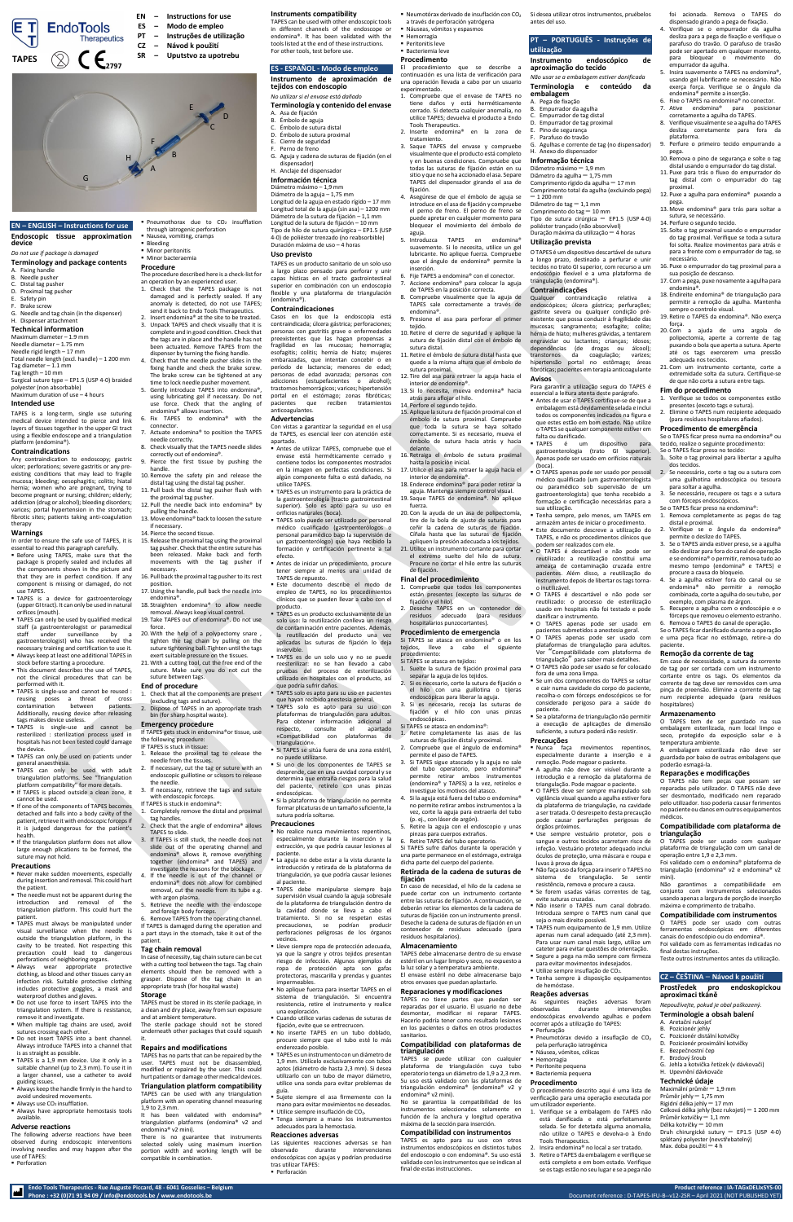**Endo Tools Therapeutics - Rue Auguste Piccard, 48 - 6041 Gosselies – Belgium Product reference : IA-TAGxDELIxSYS-00 Phone : +32 (0)71 91 94 09 / info@endotools.be / www.endotools.be** Document reference : D-TAPES-IFU-B--v12-2SR – April 2021 (NOT PUBLISHED YET)

# **EN – ENGLISH – Instructions for use Endoscopic tissue approximation device**

# *Do not use if package is damaged*

- **Terminology and package contents** A. Fixing handle
- B. Needle pushe
- Distal tag pusher
- D. Proximal tag pusher
- Safety pin
- Brake screw
- G. Needle and tag chain (in the dispenser)
- H. Dispenser attachment **Technical information**

- Maximum diameter 1.9 mm Needle diameter – 1.75 mm Needle rigid length – 17 mm Total needle length (excl. handle) – 1 200 mm
- Tag diameter 1.1 mm Tag length – 10 mm
- Surgical suture type EP1.5 (USP 4-0) braided
- polyester (non absorbable)
- Maximum duration of use 4 hours

# **Intended use**

TAPES is a long-term, single use suturing medical device intended to pierce and link layers of tissues together in the upper GI tract using a flexible endoscope and a triangulation platform (endomina®).

### **Contraindications**

- **Before using TAPES, make sure that the** package is properly sealed and includes all the components shown in the picture and that they are in perfect condition. If any component is missing or damaged, do not use TAPES.
- **EXTAPES** is a device for gastroenterology (upper GI tract). It can only be used in natural orifices (mouth).
- **TAPES can only be used by qualified medical** staff (a gastroenterologist or paramedical<br>staff under surveillance by a surveillance by gastroenterologist) who has received the necessary training and certification to use it. ■ Always keep at least one additional TAPES in
- stock before starting a procedure. ■ This document describes the use of TAPES not the clinical procedures that can be
- performed with it ■ TAPES is single-use and cannot be reused : reusing poses a threat of cross<br>contamination between patients. contamination Additionally, reusing device after releasing

Any contraindication to endoscopy; gastric ulcer; perforations; severe gastritis or any preexisting conditions that may lead to fragile mucosa; bleeding; oesophagitis; colitis; hiatal hernia; women who are pregnant, trying to become pregnant or nursing; children; elderly; addiction (drug or alcohol); bleeding disorders; varices; portal hypertension in the stomach; fibrotic sites; patients taking anti-coagulation therapy

# **Warnings**

In order to ensure the safe use of TAPES, it is essential to read this paragraph carefully.

- Never make sudden movements, especially during insertion and removal. This could hurt the patient.
- $\blacksquare$  The needle must not be apparent during the introduction and removal of the triangulation platform. This could hurt the patient.
- **E** TAPES must always be manipulated under visual surveillance when the needle is outside the triangulation platform, in the cavity to be treated. Not respecting this precaution could lead to dangerous perforations of neighboring organs.
- **E** Always wear appropriate protective clothing, as blood and other tissues carry an infection risk. Suitable protective clothing includes protective goggles, a mask and waterproof clothes and gloves.
- Do not use force to insert TAPES into the triangulation system. If there is resistance, remove it and investigate.
- When multiple tag chains are used, avoid sutures crossing each other.
- Do not insert TAPES into a bent channel. Always introduce TAPES into a channel that is as straight as possible.
- **TAPES** is a 1,9 mm device. Use it only in a suitable channel (up to 2,3 mm). To use it in a larger channel, use a catheter to avoid guiding issues.
- Always keep the handle firmly in the hand to avoid undesired movements.
- Always use CO<sub>2</sub> insufflation.
- Always have appropriate hemostasis tools available.
- **Pneumothorax due to**  $CO<sub>2</sub>$  **insufflation** through iatrogenic perforation ■ Nausea, vomiting, cramps
- **Bleeding**
- Minor peritonitis
- Minor bacteraemia

- tags makes device useless. **TAPES** is single-use and cannot be resterilized : sterilization process used in hospitals has not been tested could damage the device.
- **EXTERG** Can only be used on patients under general anaesthesia.
- **EXAMES** can only be used with adult triangulation platforms. See "Triangulation platform compatibility" for more details.
- **If TAPES** is placed outside a clean zone, it cannot be used.
- If one of the components of TAPES becomes detached and falls into a body cavity of the patient, retrieve it with endoscopic forceps if it is judged dangerous for the patient's health.
- **.** If the triangulation platform does not allow large enough plications to be formed, the suture may not hold.

## **Precautions**

#### **Adverse reactions**

The following adverse reactions have been observed during endoscopic interventions involving needles and may happen after the use of TAPES:

■ Perforation

# **Procedure**

The procedure described here is a check-list for an operation by an experienced user.

- 1. Check that the TAPES package is not damaged and is perfectly sealed. If any anomaly is detected, do not use TAPES; send it back to Endo Tools Therapeutics. 2. Insert endomina® at the site to be treated.
- 3. Unpack TAPES and check visually that it is complete and in good condition. Check that the tags are in place and the handle has not been actuated. Remove TAPES from the dispenser by turning the fixing handle.
- 4. Check that the needle pusher slides in the fixing handle and check the brake screw. The brake screw can be tightened at any time to lock needle pusher movement.
- 5. Gently introduce TAPES into endomina®, using lubricating gel if necessary. Do not use force. Check that the angling of endomina® allows insertion.
- Fix TAPES to endomina® with the connector.
- 7. Actuate endomina® to position the TAPES needle correctly.
- 8. Check visually that the TAPES needle slides correctly out of endomina®.
- 9. Pierce the first tissue by pushing the handle.
- 10. Remove the safety pin and release the distal tag using the distal tag pusher.
- 11. Pull back the distal tag pusher flush with the proximal tag pusher.
- 12. Pull the needle back into endomina® by pulling the handle.
- 13. Move endomina® back to loosen the suture if necessary.
- 14. Pierce the second tissue.
- 15. Release the proximal tag using the proximal tag pusher. Check that the entire suture has been released. Make back and forth movements with the tag pusher if necessary.
- 16. Pull back the proximal tag pusher to its rest position.
- 17.Using the handle, pull back the needle into endomina®.
- 18. Straighten endomina® to allow needle removal. Always keep visual control. 19. Take TAPES out of endomina®. Do not use
- force 20. With the help of a polypectomy snare ,
- tighten the tag chain by pulling on the suture tightening ball. Tighten until the tags exert suitable pressure on the tissues. 21. With a cutting tool, cut the free end of the suture. Make sure you do not cut the suture between tags.

Para obtener información adicional al<br>respecto. consulte el apartado respecto, consulte el apartado «Compatibilidad con plataformas de triangulación».

- **End of procedure** 1. Check that all the components are present
- (excluding tags and suture). 2. Dispose of TAPES in an appropriate trash bin (for sharp hospital waste).

# **Emergency procedure**

- La aguja no debe estar a la vista durante la introducción y retirada de la plataforma de triangulación, ya que podría causar lesiones al paciente.
- TAPES debe manipularse siempre bajo supervisión visual cuando la aguja sobresale de la plataforma de triangulación dentro de la cavidad donde se lleva a cabo el tratamiento. Si no se respetan estas precauciones, se podrían producir perforaciones peligrosas de los órganos vecinos.
- **· Lleve siempre ropa de protección adecuada,** ya que la sangre y otros tejidos presentan riesgo de infección. Algunos ejemplos de ropa de protección apta son gafas protectoras, mascarilla y prendas y guantes impermeables.
- No aplique fuerza para insertar TAPES en el sistema de triangulación. Si encuentra resistencia, retire el instrumento y realice una exploración.
- Cuando utilice varias cadenas de suturas de fijación, evite que se entrecrucen.
- No inserte TAPES en un tubo doblado, procure siempre que el tubo esté lo más enderezado posible.
- TAPES es un instrumento con un diámetro de 1,9 mm. Utilícelo exclusivamente con tubos aptos (diámetro de hasta 2,3 mm). Si desea utilizarlo con un tubo de mayor diámetro, utilice una sonda para evitar problemas de guía.
- Sujete siempre el asa firmemente con la mano para evitar movimientos no deseados. Utilice siempre insuflación de CO<sub>2</sub>.
- **Tenga siempre a mano los instrumentos**
- adecuados para la hemostasia.

Las siguientes reacciones adversas se han observado durante intervenciones endoscópicas con agujas y podrían producirse tras utilizar TAPES: ■ Perforación

 $\blacksquare$  Neumotórax derivado de insuflación con CO<sub>2</sub> a través de perforación yatrógena

- If TAPES gets stuck in endomina®or tissue, use the following procedure: IF TAPES is stuck in tissue:
- 1. Release the proximal tag to release the needle from the tissues.
- 2. If necessary, cut the tag or suture with an endoscopic guillotine or scissors to release the needle.
- If necessary, retrieve the tags and suture with endoscopic forceps.
- If TAPES is stuck in endomina®:
- 1. Completely remove the distal and proximal tag handles.
- 2. Check that the angle of endomina® allows TAPES to slide.
- If TAPES is still stuck, the needle does not slide out of the operating channel and endomina® allows it, remove everything together (endomina® and TAPES) and investigate the reasons for the blockage.
- 4. If the needle is out of the channel or endomina® does not allow for combined removal, cut the needle from its tube e.g. with argon plasma.
- Retrieve the needle with the endoscope and foreign body forceps.
- 6. Remove TAPES from the operating channel. If TAPES is damaged during the operation and a part stays in the stomach, take it out of the patient.

4. Asegúrese de que el émbolo de aguia se introduce en el asa de fijación y compruebe el perno de freno. El perno de freno se puede apretar en cualquier momento para bloquear el movimiento del émbolo de

#### **Tag chain removal**

In case of necessity, tag chain suture can be cut with a cutting tool between the tags. Tag chain elements should then be removed with a grasper. Dispose of the tag chain in an appropriate trash (for hospital waste)

#### **Storage**

TAPES must be stored in its sterile package, in a clean and dry place, away from sun exposure and at ambient temperature.

The sterile package should not be stored underneath other packages that could squash it.

#### **Repairs and modifications**

TAPES has no parts that can be repaired by the user. TAPES must not be disassembled, modified or repaired by the user. This could hurt patients or damage other medical devices.

# **Triangulation platform compatibility**

TAPES can be used with any triangulation platform with an operating channel measuring 1,9 to 2,3 mm.

It has been validated with endomina® triangulation platforms (endomina® v2 and endomina® v2 mini).

Si es necesario, corte la sutura de fijación o el hilo con una guillotina o tijeras endoscópicas para liberar la aguja. 3. Si es necesario, recoja las suturas de fijación y el hilo con unas pinzas

There is no guarantee that instruments selected solely using maximum insertion portion width and working length will be compatible in combination.

# **Instruments compatibility**

TAPES can be used with other endoscopic tools in different channels of the endoscope or endomina®. It has been validated with the tools listed at the end of these instructions. For other tools, test before use.

# **ES - ESPAÑOL - Modo de empleo**

# **Instrumento de aproximación de tejidos con endoscopio**

*No utilizar si el envase está dañado*

## **Terminología y contenido del envase** A. Asa de fijación

- B. Émbolo de aguja C. Émbolo de sutura distal
- D. Émbolo de sutura proximal
- E. Cierre de seguridad
- F. Perno de freno G. Aguja y cadena de suturas de fijación (en el
- dispensador)
- H. Anclaje del dispensador

# **Información técnica**

Diámetro máximo – 1,9 mm Diámetro de la aguja – 1,75 mm Longitud de la aguja en estado rígido – 17 mm Longitud total de la aguja (sin asa) – 1200 mm Diámetro de la sutura de fijación – 1,1 mm Longitud de la sutura de fijación – 10 mm Tipo de hilo de sutura quirúrgica – EP1.5 (USP 4-0) de poliéster trenzado (no reabsorbible) Duración máxima de uso – 4 horas

## **Uso previsto**

TAPES es un producto sanitario de un solo uso a largo plazo pensado para perforar y unir capas hísticas en el tracto gastrointestinal superior en combinación con un endoscopio flexible y una plataforma de triangulación (endomina®).

## **Contraindicaciones**

Diâmetro do tag – 1,1 mm Comprimento do tag  $-10$  mm

Casos en los que la endoscopia está contraindicada; úlcera gástrica; perforaciones; personas con gastritis grave o enfermedades preexistentes que las hagan propensas a fragilidad en las mucosas; hemorragia; esofagitis; colitis; hernia de hiato; mujeres embarazadas, que intentan concebir o en período de lactancia; menores de edad; personas de edad avanzada; personas con adicciones (estupefacientes o alcohol); trastornos hemorrágicos; varices; hipertensión portal en el estómago; zonas fibróticas; pacientes que reciben tratamientos anticoagulantes.

# **Advertencias**

TAPES é um dispositivo para gastroenterologia (trato GI superior). Apenas pode ser usado em orifícios naturais

O TAPES apenas pode ser usado por pessoal médico qualificado (um gastroenterologista ou paramédico sob supervisão de um gastroenterologista) que tenha recebido a formação e certificação necessárias para a

Tenha sempre, pelo menos, um TAPES em armazém antes de iniciar o procedimento. Este documento descreve a utilização do TAPES, e não os procedimentos clínicos que

O TAPES é descartável e não pode ser reutilizado: a reutilização constitui uma ameaça de contaminação cruzada entre pacientes. Além disso, a reutilização do instrumento depois de libertar os tags torna-

O TAPES é descartável e não pode ser reutilizado: o processo de esterilização usado em hospitais não foi testado e pode

▪ O TAPES apenas pode ser usado em pacientes submetidos a anestesia geral. O TAPES apenas pode ser usado com plataformas de triangulação para adultos. Ver "Compatibilidade com plataforma de triangulação" para saber mais detalhes. O TAPES não pode ser usado se for colocado

- Con vistas a garantizar la seguridad en el uso de TAPES, es esencial leer con atención este apartado.
- Antes de utilizar TAPES, compruebe que el envase está herméticamente cerrado y contiene todos los componentes mostrados en la imagen en perfectas condiciones. Si algún componente falta o está dañado, no utilice TAPES.
- TAPES es un instrumento para la práctica de la gastroenterología (tracto gastrointestinal superior). Solo es apto para su uso en orificios naturales (boca).
- **TAPES solo puede ser utilizado por personal** médico cualificado (gastroenterólogos o personal paramédico bajo la supervisión de un gastroenterólogo) que haya recibido la formación y certificación pertinente a tal
- efecto. ▪ Antes de iniciar un procedimiento, procure tener siempre al menos una unidad de
- TAPES de repuesto. ▪ Este documento describe el modo de empleo de TAPES, no los procedimientos clínicos que se pueden llevar a cabo con el producto.
- TAPES es un producto exclusivamente de un solo uso: la reutilización conlleva un riesgo de contaminación entre pacientes. Además, la reutilización del producto una vez aplicadas las suturas de fijación lo deja inservible.
- TAPES es de un solo uso y no se puede reesterilizar: no se han llevado a cabo pruebas del proceso de esterilización utilizado en hospitales con el producto, así que podría sufrir daños.
- TAPES solo es apto para su uso en pacientes que hayan recibido anestesia general.
- **EXTAPES** solo es apto para su uso con plataformas de triangulación para adultos.

Se um dos componentes do TAPES se soltar e cair numa cavidade do corpo do paciente, recolha-o com fórceps endoscópicos se for considerado perigoso para a saúde do

■ Bacteriemia pequena **Procedimento** 

- Si TAPES se sitúa fuera de una zona estéril, no puede utilizarse.
- Si uno de los componentes de TAPES se desprende, cae en una cavidad corporal y se determina que entraña riesgos para la salud del paciente, retírelo con unas pinzas endoscópicas.
- Si la plataforma de triangulación no permite formar plicaturas de un tamaño suficiente, la sutura podría soltarse.

#### **Precauciones**

▪ No realice nunca movimientos repentinos, especialmente durante la inserción y la extracción, ya que podría causar lesiones al paciente.

2. Verifique se o ângulo da endomina® permite o deslize do TAPES.

Se o TAPES ainda estiver preso, se a agulha não deslizar para fora do canal de operação e se endomina® o permitir, remova tudo ao mesmo tempo (endomina® e TAPES) e

Se a agulha estiver fora do canal ou se endomina® não permitir a remoção combinada, corte a agulha do seu tubo, por

Recupere a agulha com o endoscópio e o fórceps que removeu o elemento estranho. 6. Remova o TAPES do canal de operação. Se o TAPES ficar danificado durante a operação e uma peça ficar no estômago, retire-a do

#### **Reacciones adversas**

se a plataforma de triangulação não pern a execução de aplicações de dimensão suficiente, a sutura poderá não resistir. O TAPES tem de ser guardado na sua embalagem esterilizada, num local limpo e seco, protegido da exposição solar e à

#### **Procedimento**

aguja.<br>5. Introduzca

El procedimiento que se describe a

continuación es una lista de verificación para una operación llevada a cabo por un usuario experimentado. 1. Compruebe que el envase de TAPES no

> E. Bezpečnostní čep Brzdový šroub

- tiene daños y está herméticamente cerrado. Si detecta cualquier anomalía, no utilice TAPES; devuelva el producto a Endo Tools Therapeutics.
- 2. Inserte endomina® en la zona de tratamiento.
- 3. Saque TAPES del envase y compruebe visualmente que el producto está completo y en buenas condiciones. Compruebe que todas las suturas de fijación están en su sitio y que no se ha accionado el asa. Separe TAPES del dispensador girando el asa de fijación.

suavemente. Si lo necesita, utilice un gel lubricante. No aplique fuerza. Compruebe que el ángulo de endomina® permite la

inserción.

6. Fije TAPES a endomina® con el conector. 7. Accione endomina® para colocar la aguja de TAPES en la posición correcta. 8. Compruebe visualmente que la aguja de TAPES sale correctamente a través de

endomina®.

9. Presione el asa para perforar el primer

10. Retire el cierre de seguridad y aplique la sutura de fijación distal con el émbolo de

sutura distal.

11. Retire el émbolo de sutura distal hasta que quede a la misma altura que el émbolo de

sutura proximal.

12. Tire del asa para retraer la aguja hacia el

interior de endomina®.

13. Si lo necesita, mueva endomina® hacia

atrás para aflojar el hilo. 14. Perfore el segundo tejido.

15. Aplique la sutura de fijación proximal con el émbolo de sutura proximal. Compruebe que toda la sutura se haya soltado correctamente. Si es necesario, mueva el émbolo de sutura hacia atrás y hacia

delante.

16. Retraiga el émbolo de sutura proximal

hasta la posición inicial.

17.Utilice el asa para retraer la aguja hacia el

interior de endomina®.

tejido.

18. Enderece endomina® para poder retirar la aguja. Mantenga siempre control visual. 19. Saque TAPES de endomina®. No aplique

fuerza.

20. Con la ayuda de un asa de polipectomía, tire de la bola de ajuste de suturas para ceñir la cadena de suturas de fijación. Cíñala hasta que las suturas de fijación apliquen la presión adecuada a los tejidos. 21.Utilice un instrumento cortante para cortar el extremo suelto del hilo de sutura. Procure no cortar el hilo entre las suturas

de fijación.

**Final del procedimiento**

1. Compruebe que todos los componentes están presentes (excepto las suturas de

fijación y el hilo).

2. Deseche TAPES en un contenedor de residuos adecuado (para residuos

hospitalarios punzocortantes). **Procedimiento de emergencia** Si TAPES se atasca en endomina® o en los tejidos, lleve a cabo el siguiente

TAPES en endomina®

procedimiento:

Si TAPES se atasca en tejidos:

1. Suelte la sutura de fijación proximal para separar la aguja de los tejidos.

endoscópicas. Si TAPES se atasca en endomina®:

- 1. Retire completamente las asas de las suturas de fijación distal y proximal.
- 2. Compruebe que el ángulo de endomina® permite el paso de TAPES.
- 3. Si TAPES sigue atascado y la aguja no sale del tubo operatorio, pero endomina® permite retirar ambos instrumentos (endomina® y TAPES) a la vez, retírelos e investigue los motivos del atasco.
- 4. Si la aguja está fuera del tubo o endomina® no permite retirar ambos instrumentos a la vez, corte la aguja para extraerla del tubo (p. ej., con láser de argón).
- 5. Retire la aguja con el endoscopio y unas pinzas para cuerpos extraños.
- 6. Retire TAPES del tubo operatorio. Si TAPES sufre daños durante la operación y
- una parte permanece en el estómago, extraiga dicha parte del cuerpo del paciente.

#### **Retirada de la cadena de suturas de fijación**

En caso de necesidad, el hilo de la cadena se puede cortar con un instrumento cortante entre las suturas de fijación. A continuación, se deberán retirar los elementos de la cadena de suturas de fijación con un instrumento prensil. Deseche la cadena de suturas de fijación en un contenedor de residuos adecuado (para residuos hospitalarios).

#### **Almacenamiento**

TAPES debe almacenarse dentro de su envase estéril en un lugar limpio y seco, no expuesto a la luz solar y a temperatura ambiente. El envase estéril no debe almacenarse bajo otros envases que puedan aplastarlo.

#### **Reparaciones y modificaciones**

TAPES no tiene partes que puedan ser reparadas por el usuario. El usuario no debe desmontar, modificar ni reparar TAPES. Hacerlo podría tener como resultado lesiones en los pacientes o daños en otros productos sanitarios.

#### **Compatibilidad con plataformas de triangulación**

TAPES se puede utilizar con cualquier plataforma de triangulación cuyo tubo operatorio tenga un diámetro de 1,9 a 2,3 mm. Su uso está validado con las plataformas de triangulación endomina® (endomina® v2 y endomina® v2 mini).

No se garantiza la compatibilidad de los instrumentos seleccionados solamente en función de la anchura y longitud operativa máxima de la sección para inserción.

#### **Compatibilidad con instrumentos**

TAPES es apto para su uso con otros instrumentos endoscópicos en distintos tubos del endoscopio o con endomina®. Su uso está validado con los instrumentos que se indican al final de estas instrucciones.

Si desea utilizar otros instrumentos, pruébelos

antes del uso.

**PT – PORTUGUÊS - Instruções de** 

**utilização**

**Instrumento endoscópico de** 

**aproximação do tecido**

*Não usar se a embalagem estiver danificada* **Terminologia e conteúdo da** 

**embalagem** A. Pega de fixação B. Empurrador da agulha C. Empurrador de tag distal D. Empurrador de tag proximal E. Pino de segurança F. Parafuso do travão

G. Agulhas e corrente de tag (no dispensador)

H. Anexo do dispensador **Informação técnica** Diâmetro máximo – 1,9 mm Diâmetro da agulha – 1,75 mm Comprimento rígido da agulha – 17 mm Comprimento total da agulha (excluindo pega)

– 1 200 mm

- Náuseas, vómitos y espasmos ▪ Hemorragia
- Peritonitis leve
- Bacteriemia leve

Tipo de sutura cirúrgica – EP1.5 (USP 4-0)

poliéster trançado (não absorvível) Duração máxima da utilização – 4 horas

**Utilização prevista**

O TAPES é um dispositivo descartável de sutura a longo prazo, destinado a perfurar e unir tecidos no trato GI superior, com recurso a um endoscópio flexível e a uma plataforma de

triangulação (endomina®). **Contraindicações**

Qualquer contraindicação relativa a endoscópicos; úlcera gástrica; perfurações; gastrite severa ou qualquer condição préexistente que possa conduzir à fragilidade das mucosas; sangramento; esofagite; colite; hérnia de hiato; mulheres grávidas, a tentarem engravidar ou lactantes; crianças; idosos; dependências (de drogas ou álcool); transtornos da coagulação; varizes; hipertensão portal no estômago; áreas fibróticas; pacientes em terapia anticoagulante

**Avisos**

(boca)

Para garantir a utilização segura do TAPES é essencial a leitura atenta deste parágrafo. ■ Antes de usar o TAPES certifique-se de que a embalagem está devidamente selada e inclui todos os componentes indicados na figura e que estes estão em bom estado. Não utilize o TAPES se qualquer componente estiver em

falta ou danificado.

sua utilização.

podem ser realizados com ele.

o inutilizável.

danificar o instrumento.

fora de uma zona limpa.

paciente.

#### **Precauções**

- Nunca faça movimentos repentinos, especialmente durante a inserção e a remoção. Pode magoar o paciente.
- A agulha não deve ser visível durante a introdução e a remoção da plataforma de triangulação. Pode magoar o paciente.
- O TAPES deve ser sempre manipulado sob vigilância visual quando a agulha estiver fora da plataforma de triangulação, na cavidade a ser tratada. O desrespeito desta precaução pode causar perfurações perigosas de órgãos próximos.
- Use sempre vestuário protetor, pois o sangue e outros tecidos acarretam risco de infeção. Vestuário protetor adequado inclui óculos de proteção, uma máscara e roupa e luvas à prova de água.
- Não faça uso da força para inserir o TAPES no sistema de triangulação. Se sentir resistência, remova e procure a causa.
- Se forem usadas várias correntes de tag, evite suturas cruzadas.
- Não inserir o TAPES num canal dobrado. Introduza sempre o TAPES num canal que seja o mais direito possível.
- TAPES num equipamento de 1,9 mm. Utilize apenas num canal adequado (até 2,3 mm). Para usar num canal mais largo, utilize um cateter para evitar questões de orientação.
- Segure a pega na mão sempre com firmeza para evitar movimentos indesejados.
- Utilize sempre insuflação de CO<sub>2</sub>.
- Tenha sempre à disposição equipamentos de hemóstase.

#### **Reações adversas**

As seguintes reações adversas foram observadas durante intervenções endoscópicas envolvendo agulhas e podem ocorrer após a utilização do TAPES:

- Perfuração
- Pneumotórax devido a insuflação de CO<sub>2</sub> pela perfuração iatrogénica

O procedimento descrito aqui é uma lista de verificação para uma operação executada por

um utilizador experiente.

1. Verifique se a embalagem do TAPES não está danificada e está perfeitamente selada. Se for detetada alguma anomalia, não utilize o TAPES e devolva-o à Endo

Tools Therapeutics.

■ Hemorragia ■ Peritonite pequena

> 2. Insira endomina® no local a ser tratado. 3. Retire o TAPES da embalagem e verifique se está completo e em bom estado. Verifique se os tags estão no seu lugar e se a pega não

Náusea, vómitos, cólicas

foi acionada. Remova o TAPES do dispensado girando a pega de fixação. 4. Verifique se o empurrador da agulha desliza para a pega de fixação e verifique o parafuso do travão. O parafuso de travão pode ser apertado em qualquer momento, para bloquear o movimento do

empurrador da agulha.

5. Insira suavemente o TAPES na endomina®, usando gel lubrificante se necessário. Não exerça força. Verifique se o ângulo da

endomina® permite a inserção. 6. Fixe o TAPES na endomina® no conector. 7. Ative endomina® para posicionar corretamente a agulha do TAPES. 8. Verifique visualmente se a agulha do TAPES desliza corretamente para fora da

plataforma.

9. Perfure o primeiro tecido empurrando a

pega.

10. Remova o pino de segurança e solte o tag distal usando o empurrador do tag distal. 11. Puxe para trás o fluxo do empurrador do tag distal com o empurrador do tag

proximal.

12. Puxe a agulha para endomina® puxando a

pega.

13. Move endomina® para trás para soltar a

sutura, se necessário. 14. Perfure o segundo tecido.

15. Solte o tag proximal usando o empurrador do tag proximal. Verifique se toda a sutura foi solta. Realize movimentos para atrás e para a frente com o empurrador de tag, se

necessário.

16. Puxe o empurrador do tag proximal para a

sua posição de descanso.

17. Com a pega, puxe novamente a agulha para

endomina®.

forca.

18. Endireite endomina® de triangulação para permitir a remoção da agulha. Mantenha

sempre o controlo visual.

19. Retire o TAPES da endomina®. Não exerça

20. Com a ajuda de uma argola de polipectomia, aperte a corrente de tag puxando o bola que aperta a sutura. Aperte até os tags exercerem uma pressão

adequada nos tecidos.

21. Com um instrumento cortante, corte a extremidade solta da sutura. Certifique-se de que não corta a sutura entre tags.

**Fim do procedimento**

1. Verifique se todos os componentes estão presentes (exceto tags e sutura). 2. Elimine o TAPES num recipiente adequado (para resíduos hospitalares afiados). **Procedimento de emergência** Se o TAPES ficar preso numa na endomina® ou tecido, realize o seguinte procedimento: Se o TAPES ficar preso no tecido:

1. Solte o tag proximal para libertar a agulha

dos tecidos.

2. Se necessário, corte o tag ou a sutura com uma guilhotina endoscópica ou tesoura

Se necessário, recupere os tags e a sutura

para soltar a agulha.

com fórceps endoscópicos. Se o TAPES ficar preso na endomina®: 1. Remova completamente as pegas do tag

distal e proximal.

procure a causa do bloqueio.

exemplo, com plasma de árgon.

paciente.

**Remoção da corrente de tag** Em caso de necessidade, a sutura da corrente de tag por ser cortada com um instrumento cortante entre os tags. Os elementos da corrente de tag deve ser removidos com uma pinça de preensão. Elimine a corrente de tag num recipiente adequado (para resíduos

hospitalares) **Armazenamento**

temperatura ambiente.

A embalagem esterilizada não deve ser guardada por baixo de outras embalagens que

poderão esmagá-la.

**Reparações e modificações**

O TAPES não tem peças que possam ser reparadas pelo utilizador. O TAPES não deve ser desmontado, modificado nem reparado pelo utilizador. Isso poderia causar ferimentos no paciente ou danos em outros equipamentos

médicos.

**Compatibilidade com plataforma de** 

**triangulação**

O TAPES pode ser usado com qualquer plataforma de triangulação com um canal de

operação entre 1,9 e 2,3 mm.

Foi validado com o endomina® plataforma de triangulação (endomina® v2 e endomina® v2

mini).

Não garantimos a compatibilidade em conjunto com instrumentos selecionados usando apenas a largura de porção de inserção máxima e comprimento de trabalho. **Compatibilidade com instrumentos** O TAPES pode ser usado com outras ferramentas endoscópicas em diferentes canais do endoscópio ou do endomina®. Foi validado com as ferramentas indicadas no

final destas instruções.

Teste outros instrumentos antes da utilização.

**CZ – ČEŠTINA** – **Návod k použití Prostředek pro endoskopickou** 

**aproximaci tkáně**

*Nepoužívejte, pokud je obal poškozený.* **Terminologie a obsah balení**

A. Aretační rukojeť B. Pozicionér jehly

C. Pozicionér distální kotvičky D. Pozicionér proximální kotvičky

G. Jehla a kotvička řetízek (v dávkovači)

H. Upevnění dávkovače **Technické údaje** Maximální průměr – 1,9 mm Průměr jehly – 1,75 mm Rigidní délka jehly – 17 mm

Celková délka jehly (bez rukojeti) – 1 200 mm

Průměr kotvičky – 1,1 mm Délka kotvičky – 10 mm

Max. doba použití  $-4 h$ 

Druh chirurgické sutury – EP1.5 (USP 4-0)

splétaný polyester (nevstřebatelný)

## **EN – Instructions for use ES**

**– Modo de empleo**

**PT – Instruções de utilização**

**CZ – Návod k použití**